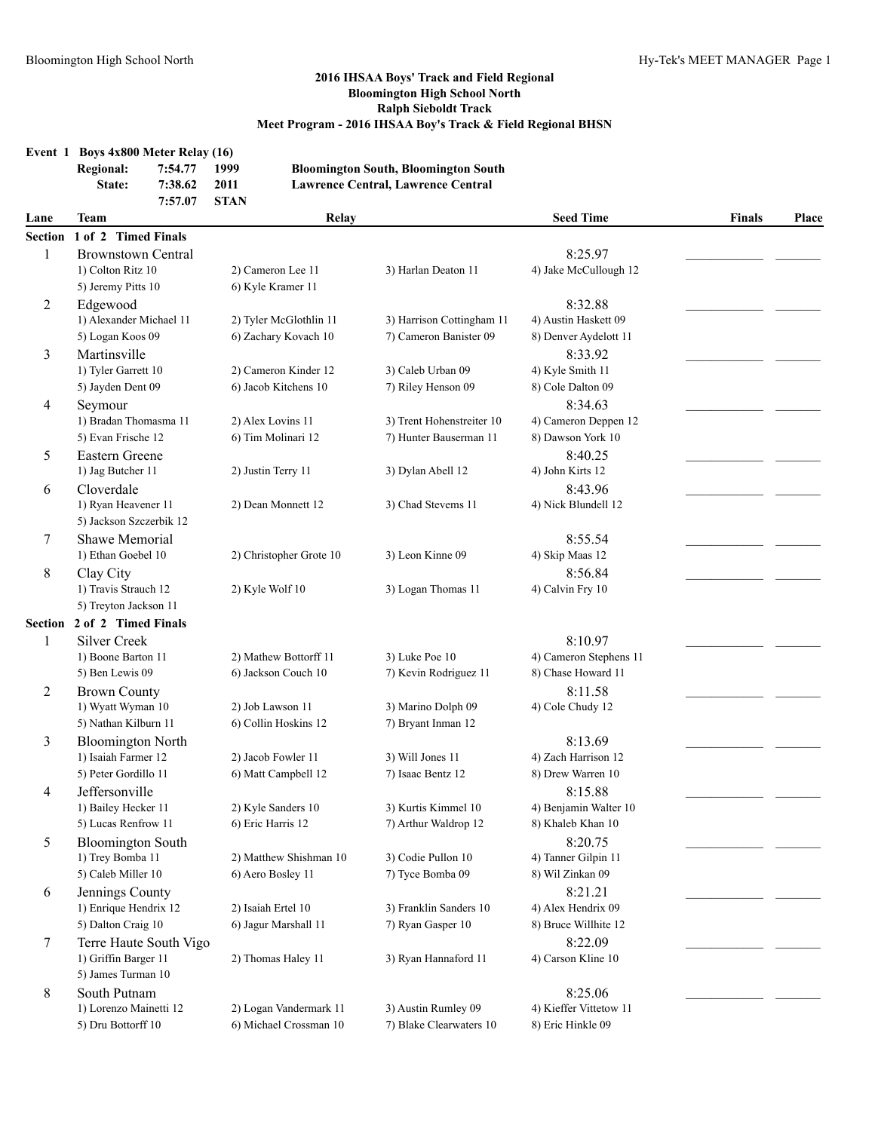### **2016 IHSAA Boys' Track and Field Regional Bloomington High School North Ralph Sieboldt Track**

|                |                                                |                                                                                                                                                                                         |                  |                         | Meet Program - 2016 IHSAA Boy's Track & Field Regional BHSN |                            |               |       |
|----------------|------------------------------------------------|-----------------------------------------------------------------------------------------------------------------------------------------------------------------------------------------|------------------|-------------------------|-------------------------------------------------------------|----------------------------|---------------|-------|
| Event 1        | <b>Regional:</b><br>State:                     | Boys 4x800 Meter Relay (16)<br>7:54.77<br>1999<br><b>Bloomington South, Bloomington South</b><br>7:38.62<br>2011<br><b>Lawrence Central, Lawrence Central</b><br>7:57.07<br><b>STAN</b> |                  |                         |                                                             |                            |               |       |
| Lane           | Team                                           |                                                                                                                                                                                         |                  | Relay                   |                                                             | <b>Seed Time</b>           | <b>Finals</b> | Place |
| <b>Section</b> | 1 of 2 Timed Finals                            |                                                                                                                                                                                         |                  |                         |                                                             |                            |               |       |
| 1              | <b>Brownstown Central</b>                      |                                                                                                                                                                                         |                  |                         |                                                             | 8:25.97                    |               |       |
|                | 1) Colton Ritz 10                              |                                                                                                                                                                                         |                  | 2) Cameron Lee 11       | 3) Harlan Deaton 11                                         | 4) Jake McCullough 12      |               |       |
|                | 5) Jeremy Pitts 10                             |                                                                                                                                                                                         |                  | 6) Kyle Kramer 11       |                                                             |                            |               |       |
| 2              | Edgewood                                       |                                                                                                                                                                                         |                  |                         |                                                             | 8:32.88                    |               |       |
|                | 1) Alexander Michael 11                        |                                                                                                                                                                                         |                  | 2) Tyler McGlothlin 11  | 3) Harrison Cottingham 11                                   | 4) Austin Haskett 09       |               |       |
|                | 5) Logan Koos 09                               |                                                                                                                                                                                         |                  | 6) Zachary Kovach 10    | 7) Cameron Banister 09                                      | 8) Denver Aydelott 11      |               |       |
| 3              | Martinsville                                   |                                                                                                                                                                                         |                  |                         |                                                             | 8:33.92                    |               |       |
|                | 1) Tyler Garrett 10                            |                                                                                                                                                                                         |                  | 2) Cameron Kinder 12    | 3) Caleb Urban 09                                           | 4) Kyle Smith 11           |               |       |
|                | 5) Jayden Dent 09                              |                                                                                                                                                                                         |                  | 6) Jacob Kitchens 10    | 7) Riley Henson 09                                          | 8) Cole Dalton 09          |               |       |
| 4              | Seymour                                        |                                                                                                                                                                                         |                  |                         |                                                             | 8:34.63                    |               |       |
|                | 1) Bradan Thomasma 11                          |                                                                                                                                                                                         |                  | 2) Alex Lovins 11       | 3) Trent Hohenstreiter 10                                   | 4) Cameron Deppen 12       |               |       |
|                | 5) Evan Frische 12                             |                                                                                                                                                                                         |                  | 6) Tim Molinari 12      | 7) Hunter Bauserman 11                                      | 8) Dawson York 10          |               |       |
| 5              | Eastern Greene                                 |                                                                                                                                                                                         |                  |                         |                                                             | 8:40.25                    |               |       |
|                | 1) Jag Butcher 11                              |                                                                                                                                                                                         |                  | 2) Justin Terry 11      | 3) Dylan Abell 12                                           | 4) John Kirts 12           |               |       |
| 6              | Cloverdale                                     |                                                                                                                                                                                         |                  |                         |                                                             | 8:43.96                    |               |       |
|                | 1) Ryan Heavener 11<br>5) Jackson Szczerbik 12 |                                                                                                                                                                                         |                  | 2) Dean Monnett 12      | 3) Chad Stevems 11                                          | 4) Nick Blundell 12        |               |       |
|                |                                                |                                                                                                                                                                                         |                  |                         |                                                             |                            |               |       |
| 7              | Shawe Memorial<br>1) Ethan Goebel 10           |                                                                                                                                                                                         |                  | 2) Christopher Grote 10 | 3) Leon Kinne 09                                            | 8:55.54<br>4) Skip Maas 12 |               |       |
| 8              | Clay City                                      |                                                                                                                                                                                         |                  |                         |                                                             | 8:56.84                    |               |       |
|                | 1) Travis Strauch 12                           |                                                                                                                                                                                         |                  | 2) Kyle Wolf 10         | 3) Logan Thomas 11                                          | 4) Calvin Fry 10           |               |       |
|                | 5) Treyton Jackson 11                          |                                                                                                                                                                                         |                  |                         |                                                             |                            |               |       |
| Section        | 2 of 2 Timed Finals                            |                                                                                                                                                                                         |                  |                         |                                                             |                            |               |       |
| 1              | <b>Silver Creek</b>                            |                                                                                                                                                                                         |                  |                         |                                                             | 8:10.97                    |               |       |
|                | 1) Boone Barton 11                             |                                                                                                                                                                                         |                  | 2) Mathew Bottorff 11   | 3) Luke Poe 10                                              | 4) Cameron Stephens 11     |               |       |
|                | 5) Ben Lewis 09                                |                                                                                                                                                                                         |                  | 6) Jackson Couch 10     | 7) Kevin Rodriguez 11                                       | 8) Chase Howard 11         |               |       |
| 2              | <b>Brown County</b>                            |                                                                                                                                                                                         |                  |                         |                                                             | 8:11.58                    |               |       |
|                | 1) Wyatt Wyman 10                              |                                                                                                                                                                                         | 2) Job Lawson 11 |                         | 3) Marino Dolph 09                                          | 4) Cole Chudy 12           |               |       |
|                | 5) Nathan Kilburn 11                           |                                                                                                                                                                                         |                  | 6) Collin Hoskins 12    | 7) Bryant Inman 12                                          |                            |               |       |
| 3              | <b>Bloomington North</b>                       |                                                                                                                                                                                         |                  |                         |                                                             | 8:13.69                    |               |       |
|                | 1) Isaiah Farmer 12                            |                                                                                                                                                                                         |                  | 2) Jacob Fowler 11      | 3) Will Jones 11                                            | 4) Zach Harrison 12        |               |       |
|                | 5) Peter Gordillo 11                           |                                                                                                                                                                                         |                  | 6) Matt Campbell 12     | 7) Isaac Bentz 12                                           | 8) Drew Warren 10          |               |       |
| 4              | Jeffersonville                                 |                                                                                                                                                                                         |                  |                         |                                                             | 8:15.88                    |               |       |
|                | 1) Bailey Hecker 11                            |                                                                                                                                                                                         |                  | 2) Kyle Sanders 10      | 3) Kurtis Kimmel 10                                         | 4) Benjamin Walter 10      |               |       |
|                | 5) Lucas Renfrow 11                            |                                                                                                                                                                                         |                  | 6) Eric Harris 12       | 7) Arthur Waldrop 12                                        | 8) Khaleb Khan 10          |               |       |
| 5              | <b>Bloomington South</b>                       |                                                                                                                                                                                         |                  |                         |                                                             | 8:20.75                    |               |       |
|                | 1) Trey Bomba 11                               |                                                                                                                                                                                         |                  | 2) Matthew Shishman 10  | 3) Codie Pullon 10                                          | 4) Tanner Gilpin 11        |               |       |
|                | 5) Caleb Miller 10                             |                                                                                                                                                                                         |                  | 6) Aero Bosley 11       | 7) Tyce Bomba 09                                            | 8) Wil Zinkan 09           |               |       |
| 6              | Jennings County                                |                                                                                                                                                                                         |                  |                         |                                                             | 8:21.21                    |               |       |
|                | 1) Enrique Hendrix 12                          |                                                                                                                                                                                         |                  | 2) Isaiah Ertel 10      | 3) Franklin Sanders 10                                      | 4) Alex Hendrix 09         |               |       |
|                | 5) Dalton Craig 10                             |                                                                                                                                                                                         |                  | 6) Jagur Marshall 11    | 7) Ryan Gasper 10                                           | 8) Bruce Willhite 12       |               |       |
| 7              | Terre Haute South Vigo                         |                                                                                                                                                                                         |                  |                         |                                                             | 8:22.09                    |               |       |
|                | 1) Griffin Barger 11                           |                                                                                                                                                                                         |                  | 2) Thomas Haley 11      | 3) Ryan Hannaford 11                                        | 4) Carson Kline 10         |               |       |
|                | 5) James Turman 10                             |                                                                                                                                                                                         |                  |                         |                                                             |                            |               |       |
| 8              | South Putnam                                   |                                                                                                                                                                                         |                  |                         |                                                             | 8:25.06                    |               |       |

1) Lorenzo Mainetti 12 2) Logan Vandermark 11 3) Austin Rumley 09 4) Kieffer Vittetow 11 5) Dru Bottorff 10 6) Michael Crossman 10 7) Blake Clearwaters 10 8) Eric Hinkle 09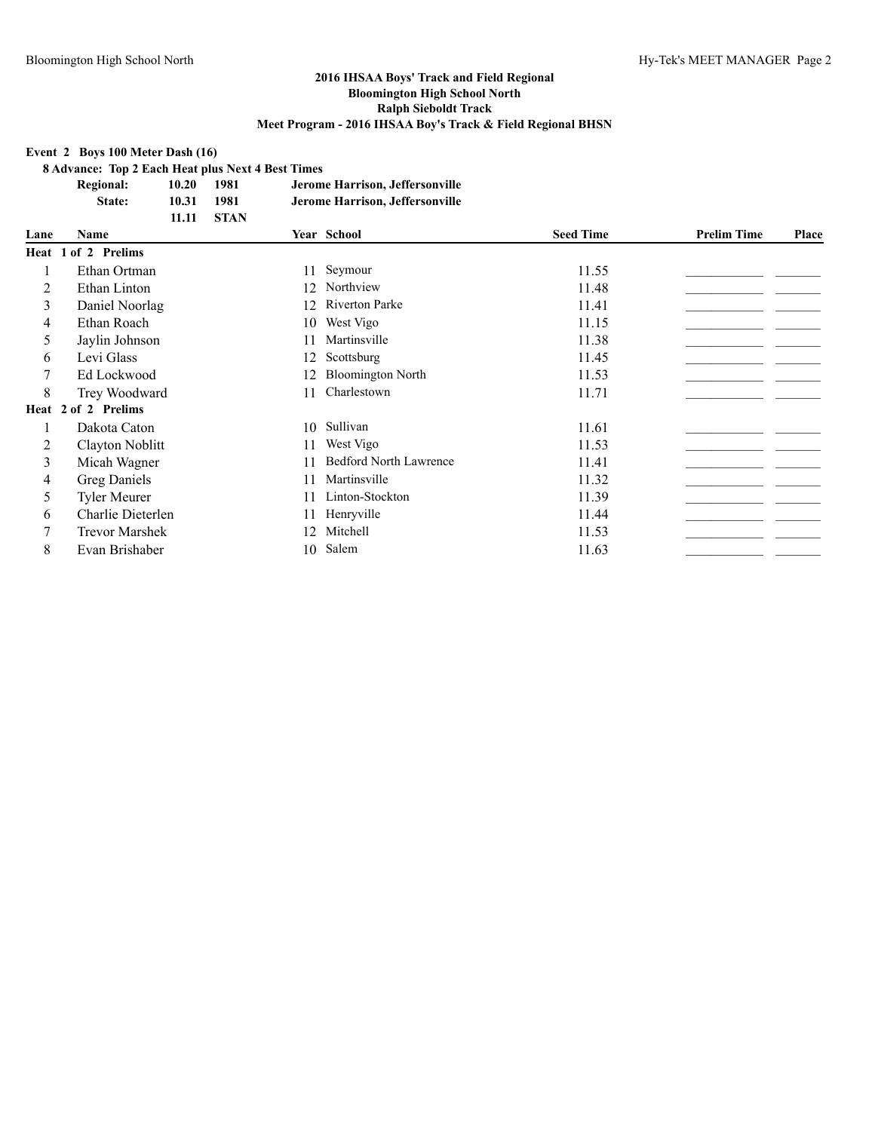#### **Event 2 Boys 100 Meter Dash (16)**

**8 Advance: Top 2 Each Heat plus Next 4 Best Times**

| <b>Regional:</b> | 10.20 | 1981        | Jerome Harrison, Jeffersonville |
|------------------|-------|-------------|---------------------------------|
| <b>State:</b>    | 10.31 | 1981        | Jerome Harrison, Jeffersonville |
|                  | 11.11 | <b>STAN</b> |                                 |

| Lane | Name                  |    | Year School                   | <b>Seed Time</b> | <b>Prelim Time</b> | Place |
|------|-----------------------|----|-------------------------------|------------------|--------------------|-------|
|      | Heat 1 of 2 Prelims   |    |                               |                  |                    |       |
|      | Ethan Ortman          |    | 11 Seymour                    | 11.55            |                    |       |
| 2    | Ethan Linton          |    | 12 Northview                  | 11.48            |                    |       |
| 3    | Daniel Noorlag        | 12 | <b>Riverton Parke</b>         | 11.41            |                    |       |
| 4    | Ethan Roach           | 10 | West Vigo                     | 11.15            |                    |       |
| 5    | Jaylin Johnson        | 11 | Martinsville                  | 11.38            |                    |       |
| 6    | Levi Glass            | 12 | Scottsburg                    | 11.45            |                    |       |
| 7    | Ed Lockwood           | 12 | <b>Bloomington North</b>      | 11.53            |                    |       |
| 8    | Trey Woodward         | 11 | Charlestown                   | 11.71            |                    |       |
|      | Heat 2 of 2 Prelims   |    |                               |                  |                    |       |
|      | Dakota Caton          | 10 | Sullivan                      | 11.61            |                    |       |
| 2    | Clayton Noblitt       | 11 | West Vigo                     | 11.53            |                    |       |
| 3    | Micah Wagner          | 11 | <b>Bedford North Lawrence</b> | 11.41            |                    |       |
| 4    | Greg Daniels          | 11 | Martinsville                  | 11.32            |                    |       |
| 5    | <b>Tyler Meurer</b>   | 11 | Linton-Stockton               | 11.39            |                    |       |
| 6    | Charlie Dieterlen     | 11 | Henryville                    | 11.44            |                    |       |
|      | <b>Trevor Marshek</b> | 12 | Mitchell                      | 11.53            |                    |       |
| 8    | Evan Brishaber        |    | 10 Salem                      | 11.63            |                    |       |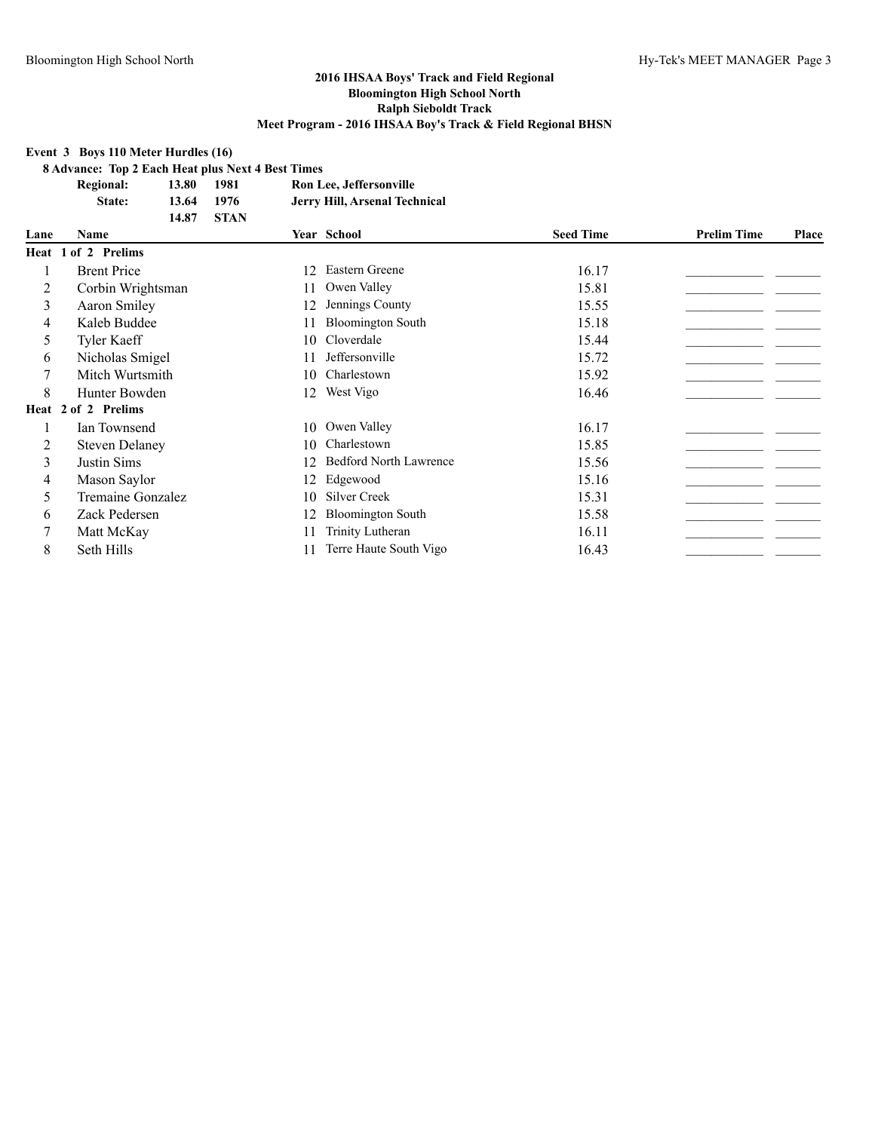#### **Event 3 Boys 110 Meter Hurdles (16)**

**8 Advance: Top 2 Each Heat plus Next 4 Best Times**

| <b>Regional:</b> | 13.80 | 1981        | Ron Lee, Jeffersonville       |
|------------------|-------|-------------|-------------------------------|
| State:           | 13.64 | 1976        | Jerry Hill, Arsenal Technical |
|                  | 14.87 | <b>STAN</b> |                               |

| Lane | Name                  |     | Year School                   | <b>Seed Time</b> | <b>Prelim Time</b> | Place |
|------|-----------------------|-----|-------------------------------|------------------|--------------------|-------|
|      | Heat 1 of 2 Prelims   |     |                               |                  |                    |       |
|      | <b>Brent Price</b>    | 12  | Eastern Greene                | 16.17            |                    |       |
| 2    | Corbin Wrightsman     | 11  | Owen Valley                   | 15.81            |                    |       |
| 3    | Aaron Smiley          | 12  | Jennings County               | 15.55            |                    |       |
| 4    | Kaleb Buddee          |     | <b>Bloomington South</b>      | 15.18            |                    |       |
| 5    | Tyler Kaeff           | 10  | Cloverdale                    | 15.44            |                    |       |
| 6    | Nicholas Smigel       |     | Jeffersonville                | 15.72            |                    |       |
| 7    | Mitch Wurtsmith       | 10  | Charlestown                   | 15.92            |                    |       |
| 8    | Hunter Bowden         | 12  | West Vigo                     | 16.46            |                    |       |
|      | Heat 2 of 2 Prelims   |     |                               |                  |                    |       |
|      | Ian Townsend          | 10  | Owen Valley                   | 16.17            |                    |       |
| 2    | <b>Steven Delaney</b> | 10  | Charlestown                   | 15.85            |                    |       |
| 3    | Justin Sims           | 12. | <b>Bedford North Lawrence</b> | 15.56            |                    |       |
| 4    | Mason Saylor          | 12  | Edgewood                      | 15.16            |                    |       |
| 5    | Tremaine Gonzalez     | 10  | Silver Creek                  | 15.31            |                    |       |
| 6    | Zack Pedersen         | 12  | <b>Bloomington South</b>      | 15.58            |                    |       |
| 7    | Matt McKay            | 11  | Trinity Lutheran              | 16.11            |                    |       |
| 8    | Seth Hills            |     | Terre Haute South Vigo        | 16.43            |                    |       |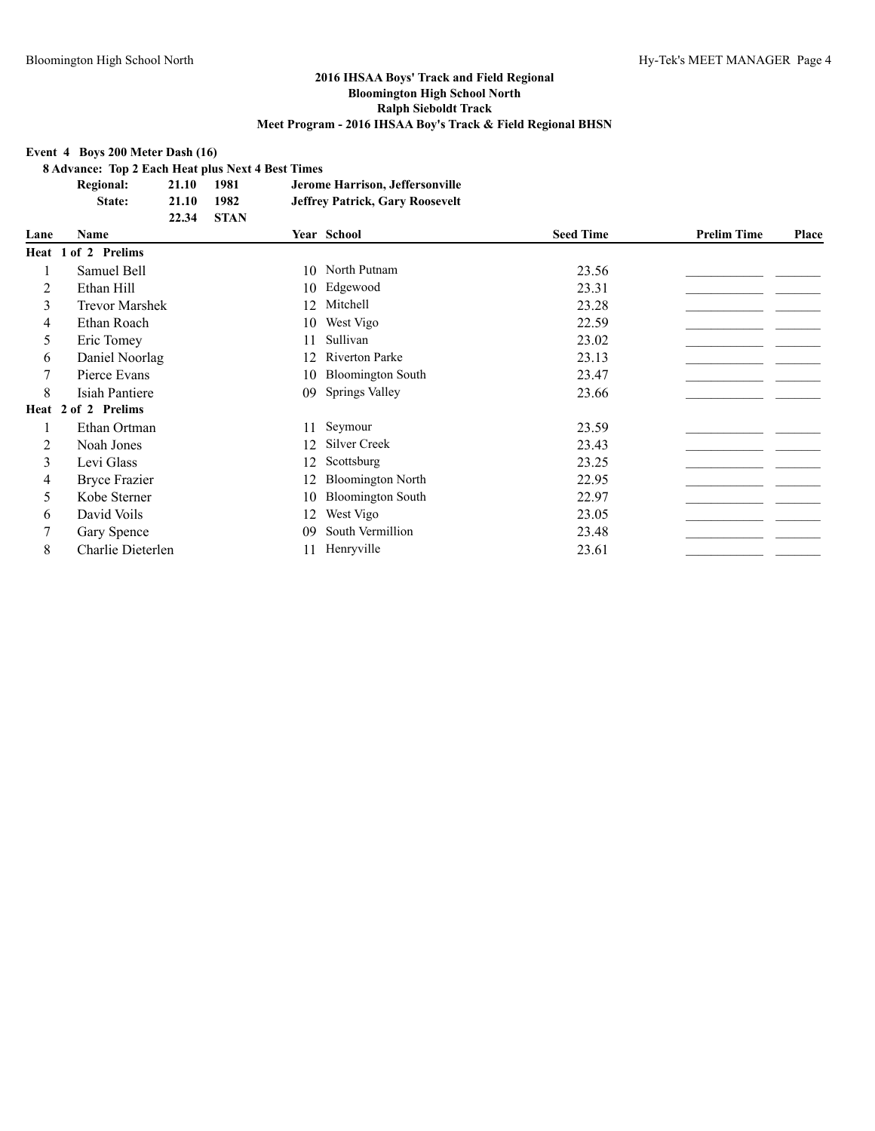#### **Event 4 Boys 200 Meter Dash (16)**

**8 Advance: Top 2 Each Heat plus Next 4 Best Times**

| <b>Regional:</b> | 21.10 | 1981        | Jerome Harrison, Jeffersonville        |
|------------------|-------|-------------|----------------------------------------|
| State:           | 21.10 | 1982        | <b>Jeffrey Patrick, Gary Roosevelt</b> |
|                  | 22.34 | <b>STAN</b> |                                        |

| Lane | <b>Name</b>           |    | Year School              | <b>Seed Time</b> | <b>Prelim Time</b> | Place |
|------|-----------------------|----|--------------------------|------------------|--------------------|-------|
|      | Heat 1 of 2 Prelims   |    |                          |                  |                    |       |
|      | Samuel Bell           |    | 10 North Putnam          | 23.56            |                    |       |
| 2    | Ethan Hill            |    | 10 Edgewood              | 23.31            |                    |       |
| 3    | <b>Trevor Marshek</b> | 12 | Mitchell                 | 23.28            |                    |       |
| 4    | Ethan Roach           | 10 | West Vigo                | 22.59            |                    |       |
| 5    | Eric Tomey            | 11 | Sullivan                 | 23.02            |                    |       |
| 6    | Daniel Noorlag        | 12 | <b>Riverton Parke</b>    | 23.13            |                    |       |
|      | Pierce Evans          | 10 | <b>Bloomington South</b> | 23.47            |                    |       |
| 8    | Isiah Pantiere        | 09 | <b>Springs Valley</b>    | 23.66            |                    |       |
|      | Heat 2 of 2 Prelims   |    |                          |                  |                    |       |
|      | Ethan Ortman          | 11 | Seymour                  | 23.59            |                    |       |
| 2    | Noah Jones            | 12 | Silver Creek             | 23.43            |                    |       |
| 3    | Levi Glass            | 12 | Scottsburg               | 23.25            |                    |       |
| 4    | <b>Bryce Frazier</b>  | 12 | <b>Bloomington North</b> | 22.95            |                    |       |
| 5    | Kobe Sterner          | 10 | <b>Bloomington South</b> | 22.97            |                    |       |
| 6    | David Voils           | 12 | West Vigo                | 23.05            |                    |       |
| 7    | Gary Spence           | 09 | South Vermillion         | 23.48            |                    |       |
| 8    | Charlie Dieterlen     | 11 | Henryville               | 23.61            |                    |       |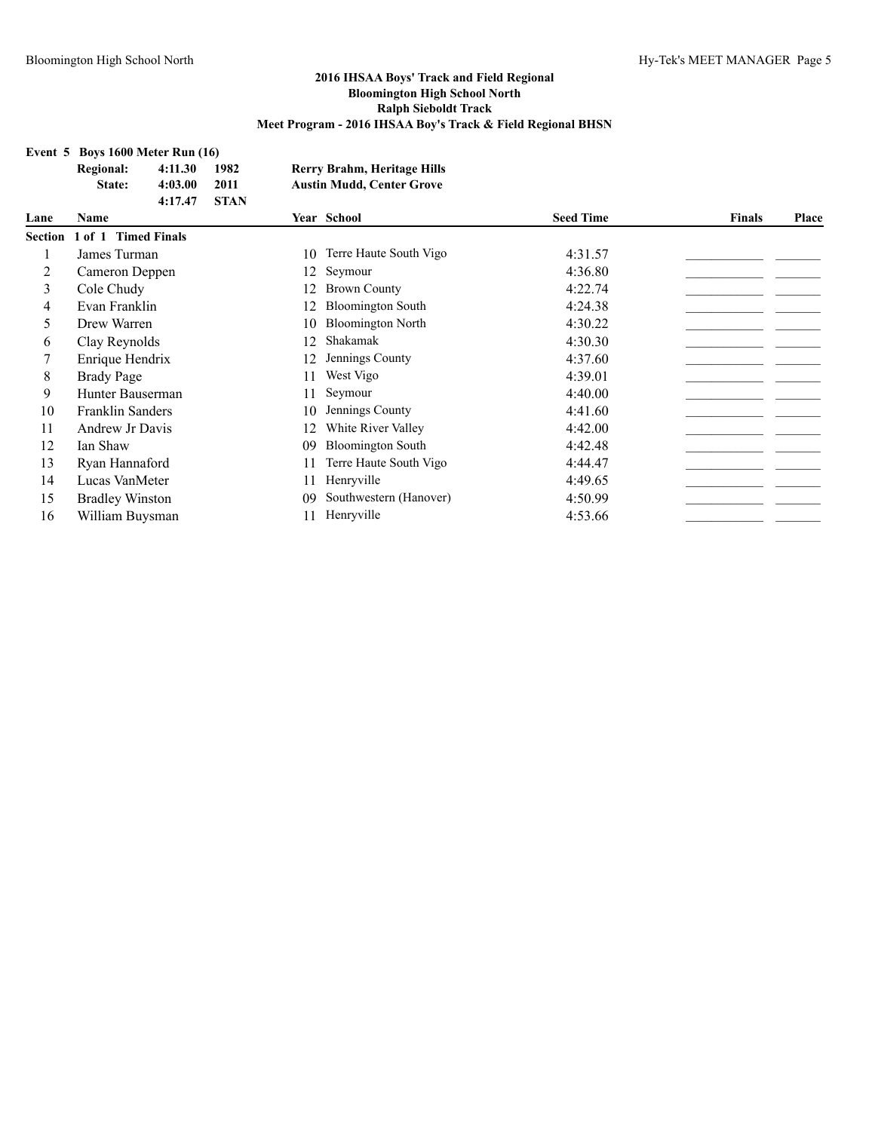### **Event 5 Boys 1600 Meter Run (16)**

|         | Event 5 Boys 1600 Meter Run (16) |         |             |    |                                  |                  |        |       |
|---------|----------------------------------|---------|-------------|----|----------------------------------|------------------|--------|-------|
|         | <b>Regional:</b>                 | 4:11.30 | 1982        |    | Rerry Brahm, Heritage Hills      |                  |        |       |
|         | State:                           | 4:03.00 | 2011        |    | <b>Austin Mudd, Center Grove</b> |                  |        |       |
|         |                                  | 4:17.47 | <b>STAN</b> |    |                                  |                  |        |       |
| Lane    | Name                             |         |             |    | Year School                      | <b>Seed Time</b> | Finals | Place |
| Section | 1 of 1 Timed Finals              |         |             |    |                                  |                  |        |       |
|         | James Turman                     |         |             | 10 | Terre Haute South Vigo           | 4:31.57          |        |       |
| 2       | Cameron Deppen                   |         |             | 12 | Seymour                          | 4:36.80          |        |       |
| 3       | Cole Chudy                       |         |             | 12 | <b>Brown County</b>              | 4:22.74          |        |       |
| 4       | Evan Franklin                    |         |             | 12 | <b>Bloomington South</b>         | 4:24.38          |        |       |
| 5.      | Drew Warren                      |         |             | 10 | <b>Bloomington North</b>         | 4:30.22          |        |       |
| 6       | Clay Reynolds                    |         |             | 12 | Shakamak                         | 4:30.30          |        |       |
|         | Enrique Hendrix                  |         |             | 12 | Jennings County                  | 4:37.60          |        |       |
| 8       | <b>Brady Page</b>                |         |             | 11 | West Vigo                        | 4:39.01          |        |       |
| 9       | Hunter Bauserman                 |         |             | 11 | Seymour                          | 4:40.00          |        |       |
| 10      | Franklin Sanders                 |         |             | 10 | Jennings County                  | 4:41.60          |        |       |
| 11      | Andrew Jr Davis                  |         |             | 12 | White River Valley               | 4:42.00          |        |       |
| 12      | Ian Shaw                         |         |             | 09 | <b>Bloomington South</b>         | 4:42.48          |        |       |
| 13      | Ryan Hannaford                   |         |             | 11 | Terre Haute South Vigo           | 4:44.47          |        |       |
| 14      | Lucas VanMeter                   |         |             | 11 | Henryville                       | 4:49.65          |        |       |
| 15      | <b>Bradley Winston</b>           |         |             | 09 | Southwestern (Hanover)           | 4:50.99          |        |       |
| 16      | William Buysman                  |         |             | 11 | Henryville                       | 4:53.66          |        |       |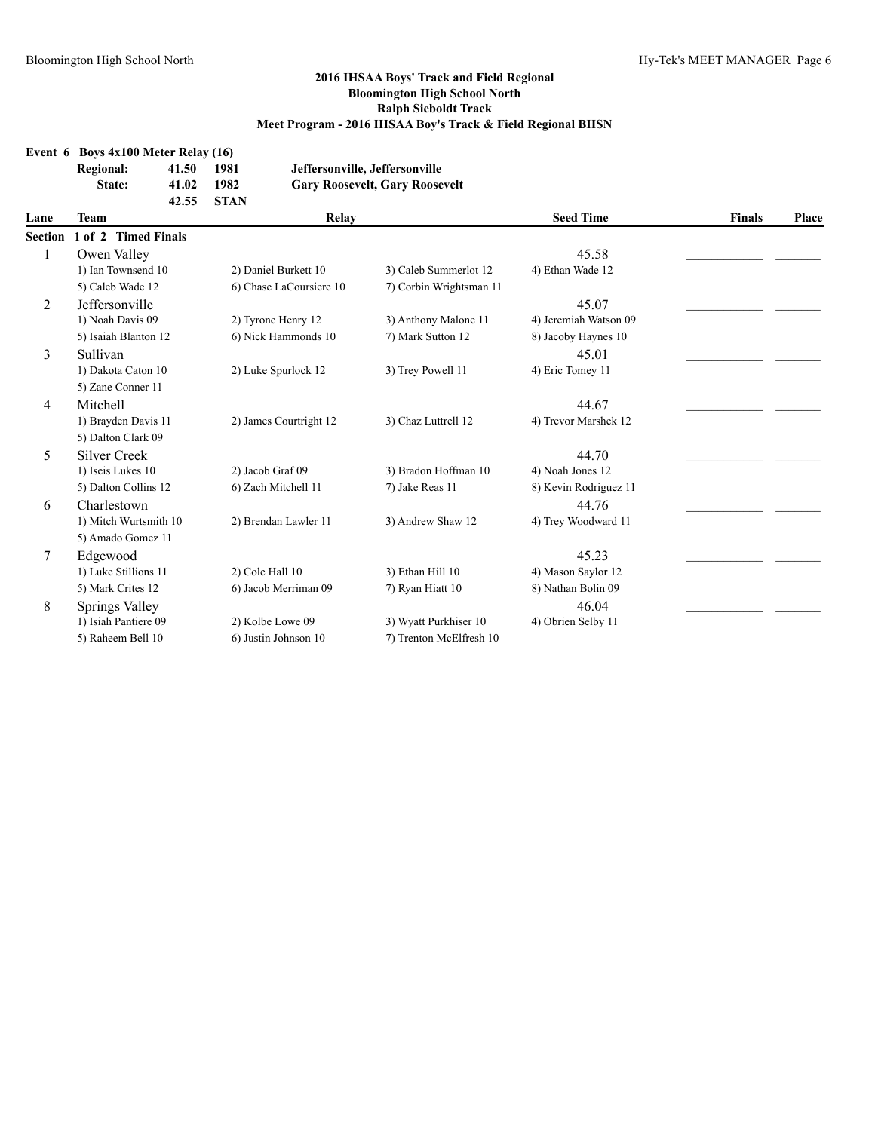|                | <b>Regional:</b><br>State: | 41.50<br>41.02<br>42.55 | 1981<br>1982<br><b>STAN</b> |                         | Jeffersonville, Jeffersonville<br><b>Gary Roosevelt, Gary Roosevelt</b> |                       |               |       |
|----------------|----------------------------|-------------------------|-----------------------------|-------------------------|-------------------------------------------------------------------------|-----------------------|---------------|-------|
| Lane           | Team                       |                         |                             | Relay                   |                                                                         | <b>Seed Time</b>      | <b>Finals</b> | Place |
| Section        | 1 of 2 Timed Finals        |                         |                             |                         |                                                                         |                       |               |       |
| 1              | Owen Valley                |                         |                             |                         |                                                                         | 45.58                 |               |       |
|                | 1) Ian Townsend 10         |                         |                             | 2) Daniel Burkett 10    | 3) Caleb Summerlot 12                                                   | 4) Ethan Wade 12      |               |       |
|                | 5) Caleb Wade 12           |                         |                             | 6) Chase LaCoursiere 10 | 7) Corbin Wrightsman 11                                                 |                       |               |       |
| 2              | Jeffersonville             |                         |                             |                         |                                                                         | 45.07                 |               |       |
|                | 1) Noah Davis 09           |                         |                             | 2) Tyrone Henry 12      | 3) Anthony Malone 11                                                    | 4) Jeremiah Watson 09 |               |       |
|                | 5) Isaiah Blanton 12       |                         |                             | 6) Nick Hammonds 10     | 7) Mark Sutton 12                                                       | 8) Jacoby Haynes 10   |               |       |
| 3              | Sullivan                   |                         |                             |                         |                                                                         | 45.01                 |               |       |
|                | 1) Dakota Caton 10         |                         |                             | 2) Luke Spurlock 12     | 3) Trey Powell 11                                                       | 4) Eric Tomey 11      |               |       |
|                | 5) Zane Conner 11          |                         |                             |                         |                                                                         |                       |               |       |
| $\overline{4}$ | Mitchell                   |                         |                             |                         |                                                                         | 44.67                 |               |       |
|                | 1) Brayden Davis 11        |                         |                             | 2) James Courtright 12  | 3) Chaz Luttrell 12                                                     | 4) Trevor Marshek 12  |               |       |
|                | 5) Dalton Clark 09         |                         |                             |                         |                                                                         |                       |               |       |
| 5              | <b>Silver Creek</b>        |                         |                             |                         |                                                                         | 44.70                 |               |       |
|                | 1) Iseis Lukes 10          |                         | 2) Jacob Graf 09            |                         | 3) Bradon Hoffman 10                                                    | 4) Noah Jones 12      |               |       |
|                | 5) Dalton Collins 12       |                         |                             | 6) Zach Mitchell 11     | 7) Jake Reas 11                                                         | 8) Kevin Rodriguez 11 |               |       |
| 6              | Charlestown                |                         |                             |                         |                                                                         | 44.76                 |               |       |
|                | 1) Mitch Wurtsmith 10      |                         |                             | 2) Brendan Lawler 11    | 3) Andrew Shaw 12                                                       | 4) Trey Woodward 11   |               |       |
|                | 5) Amado Gomez 11          |                         |                             |                         |                                                                         |                       |               |       |
| 7              | Edgewood                   |                         |                             |                         |                                                                         | 45.23                 |               |       |
|                | 1) Luke Stillions 11       |                         |                             | 2) Cole Hall 10         | 3) Ethan Hill 10                                                        | 4) Mason Saylor 12    |               |       |
|                | 5) Mark Crites 12          |                         |                             | 6) Jacob Merriman 09    | 7) Ryan Hiatt 10                                                        | 8) Nathan Bolin 09    |               |       |
| 8              | Springs Valley             |                         |                             |                         |                                                                         | 46.04                 |               |       |
|                | 1) Isiah Pantiere 09       |                         |                             | 2) Kolbe Lowe 09        | 3) Wyatt Purkhiser 10                                                   | 4) Obrien Selby 11    |               |       |
|                | 5) Raheem Bell 10          |                         |                             | 6) Justin Johnson 10    | 7) Trenton McElfresh 10                                                 |                       |               |       |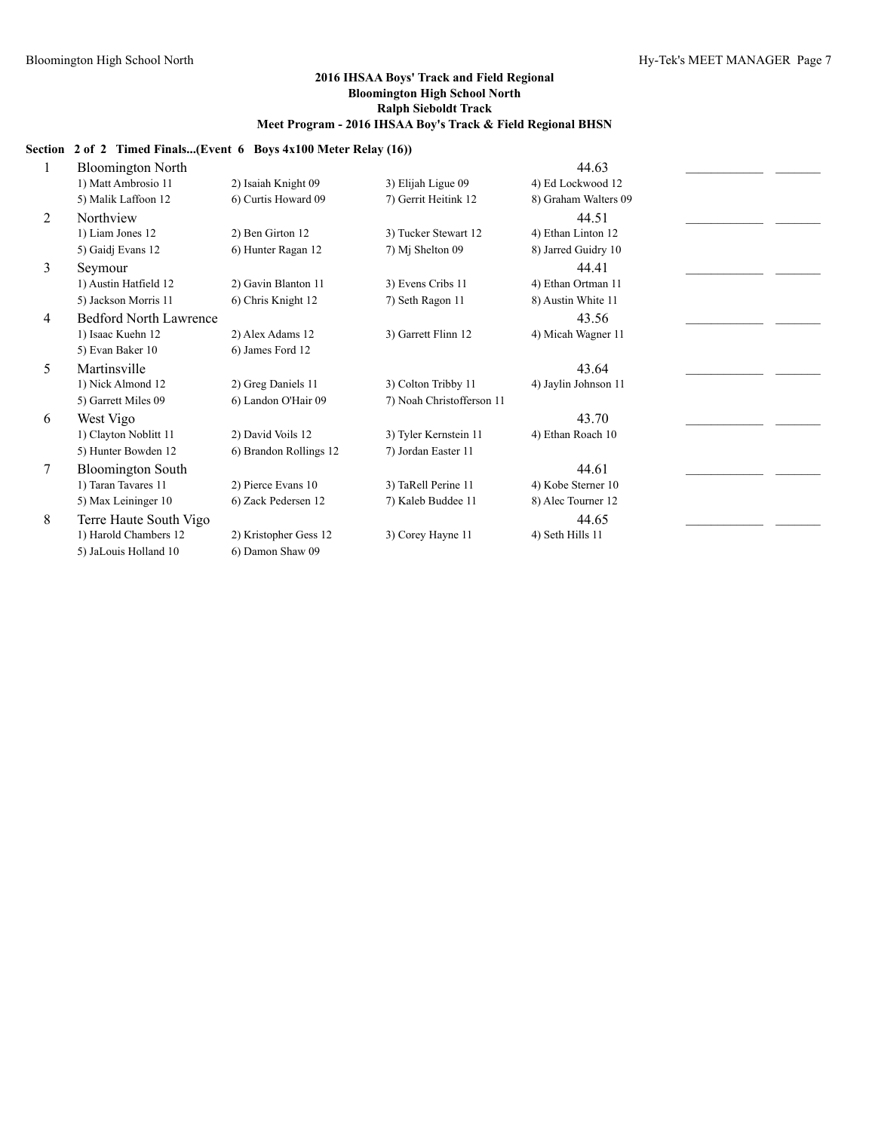### **Section 2 of 2 Timed Finals...(Event 6 Boys 4x100 Meter Relay (16))**

|   | <b>Bloomington North</b>      |                        |                           | 44.63                |  |
|---|-------------------------------|------------------------|---------------------------|----------------------|--|
|   | 1) Matt Ambrosio 11           | 2) Isaiah Knight 09    | 3) Elijah Ligue 09        | 4) Ed Lockwood 12    |  |
|   | 5) Malik Laffoon 12           | 6) Curtis Howard 09    | 7) Gerrit Heitink 12      | 8) Graham Walters 09 |  |
| 2 | Northview                     |                        |                           | 44.51                |  |
|   | 1) Liam Jones 12              | 2) Ben Girton 12       | 3) Tucker Stewart 12      | 4) Ethan Linton 12   |  |
|   | 5) Gaidj Evans 12             | 6) Hunter Ragan 12     | 7) Mj Shelton 09          | 8) Jarred Guidry 10  |  |
| 3 | Seymour                       |                        |                           | 44.41                |  |
|   | 1) Austin Hatfield 12         | 2) Gavin Blanton 11    | 3) Evens Cribs 11         | 4) Ethan Ortman 11   |  |
|   | 5) Jackson Morris 11          | 6) Chris Knight 12     | 7) Seth Ragon 11          | 8) Austin White 11   |  |
| 4 | <b>Bedford North Lawrence</b> |                        |                           | 43.56                |  |
|   | 1) Isaac Kuehn 12             | 2) Alex Adams 12       | 3) Garrett Flinn 12       | 4) Micah Wagner 11   |  |
|   | 5) Evan Baker 10              | 6) James Ford 12       |                           |                      |  |
| 5 | Martinsville                  |                        |                           | 43.64                |  |
|   | 1) Nick Almond 12             | 2) Greg Daniels 11     | 3) Colton Tribby 11       | 4) Jaylin Johnson 11 |  |
|   | 5) Garrett Miles 09           | 6) Landon O'Hair 09    | 7) Noah Christofferson 11 |                      |  |
| 6 | West Vigo                     |                        |                           | 43.70                |  |
|   | 1) Clayton Noblitt 11         | 2) David Voils 12      | 3) Tyler Kernstein 11     | 4) Ethan Roach 10    |  |
|   | 5) Hunter Bowden 12           | 6) Brandon Rollings 12 | 7) Jordan Easter 11       |                      |  |
| 7 | <b>Bloomington South</b>      |                        |                           | 44.61                |  |
|   | 1) Taran Tavares 11           | 2) Pierce Evans 10     | 3) TaRell Perine 11       | 4) Kobe Sterner 10   |  |
|   | 5) Max Leininger 10           | 6) Zack Pedersen 12    | 7) Kaleb Buddee 11        | 8) Alec Tourner 12   |  |
| 8 | Terre Haute South Vigo        |                        |                           | 44.65                |  |
|   | 1) Harold Chambers 12         | 2) Kristopher Gess 12  | 3) Corey Hayne 11         | 4) Seth Hills 11     |  |
|   | 5) JaLouis Holland 10         | 6) Damon Shaw 09       |                           |                      |  |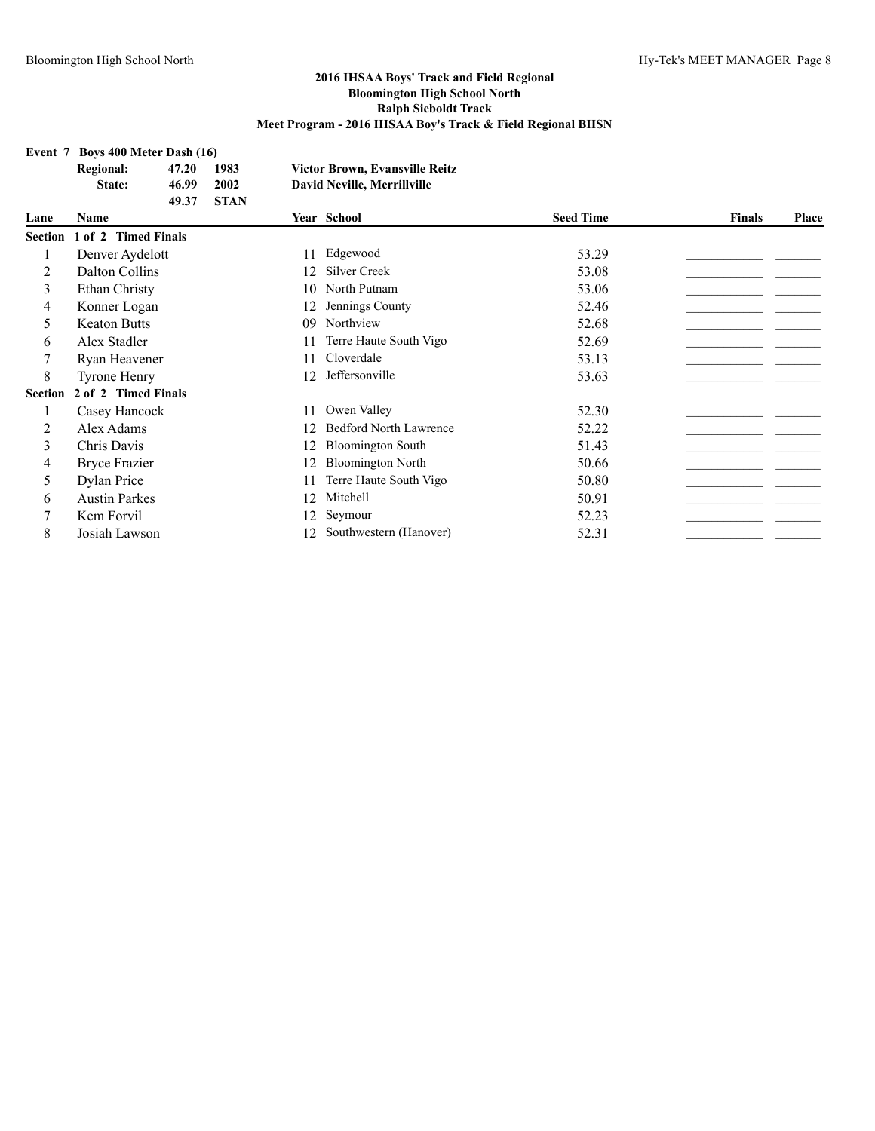#### **2016 IHSAA Boys' Track and Field Regional Bloomington High School North Ralph Sieboldt Track Meet Program - 2016 IHSAA Boy's Track & Field Regional BHSN**

|                | Event 7 Boys 400 Meter Dash (16) |       |             |    |                                       |                  |               |       |
|----------------|----------------------------------|-------|-------------|----|---------------------------------------|------------------|---------------|-------|
|                | <b>Regional:</b>                 | 47.20 | 1983        |    | <b>Victor Brown, Evansville Reitz</b> |                  |               |       |
|                | State:                           | 46.99 | 2002        |    | <b>David Neville, Merrillville</b>    |                  |               |       |
|                |                                  | 49.37 | <b>STAN</b> |    |                                       |                  |               |       |
| Lane           | <b>Name</b>                      |       |             |    | Year School                           | <b>Seed Time</b> | <b>Finals</b> | Place |
| <b>Section</b> | 1 of 2 Timed Finals              |       |             |    |                                       |                  |               |       |
|                | Denver Aydelott                  |       |             | 11 | Edgewood                              | 53.29            |               |       |
| 2              | Dalton Collins                   |       |             | 12 | <b>Silver Creek</b>                   | 53.08            |               |       |
| 3              | Ethan Christy                    |       |             | 10 | North Putnam                          | 53.06            |               |       |
| 4              | Konner Logan                     |       |             | 12 | Jennings County                       | 52.46            |               |       |
| 5              | <b>Keaton Butts</b>              |       |             | 09 | Northview                             | 52.68            |               |       |
| 6              | Alex Stadler                     |       |             | 11 | Terre Haute South Vigo                | 52.69            |               |       |
|                | Ryan Heavener                    |       |             | 11 | Cloverdale                            | 53.13            |               |       |
| 8              | <b>Tyrone Henry</b>              |       |             | 12 | Jeffersonville                        | 53.63            |               |       |
| <b>Section</b> | 2 of 2 Timed Finals              |       |             |    |                                       |                  |               |       |
| 1              | Casey Hancock                    |       |             | 11 | Owen Valley                           | 52.30            |               |       |
| 2              | Alex Adams                       |       |             | 12 | <b>Bedford North Lawrence</b>         | 52.22            |               |       |
| 3              | Chris Davis                      |       |             | 12 | <b>Bloomington South</b>              | 51.43            |               |       |
| 4              | Bryce Frazier                    |       |             | 12 | <b>Bloomington North</b>              | 50.66            |               |       |
| 5              | Dylan Price                      |       |             | 11 | Terre Haute South Vigo                | 50.80            |               |       |
| 6              | <b>Austin Parkes</b>             |       |             | 12 | Mitchell                              | 50.91            |               |       |
|                | Kem Forvil                       |       |             | 12 | Seymour                               | 52.23            |               |       |
| 8              | Josiah Lawson                    |       |             | 12 | Southwestern (Hanover)                | 52.31            |               |       |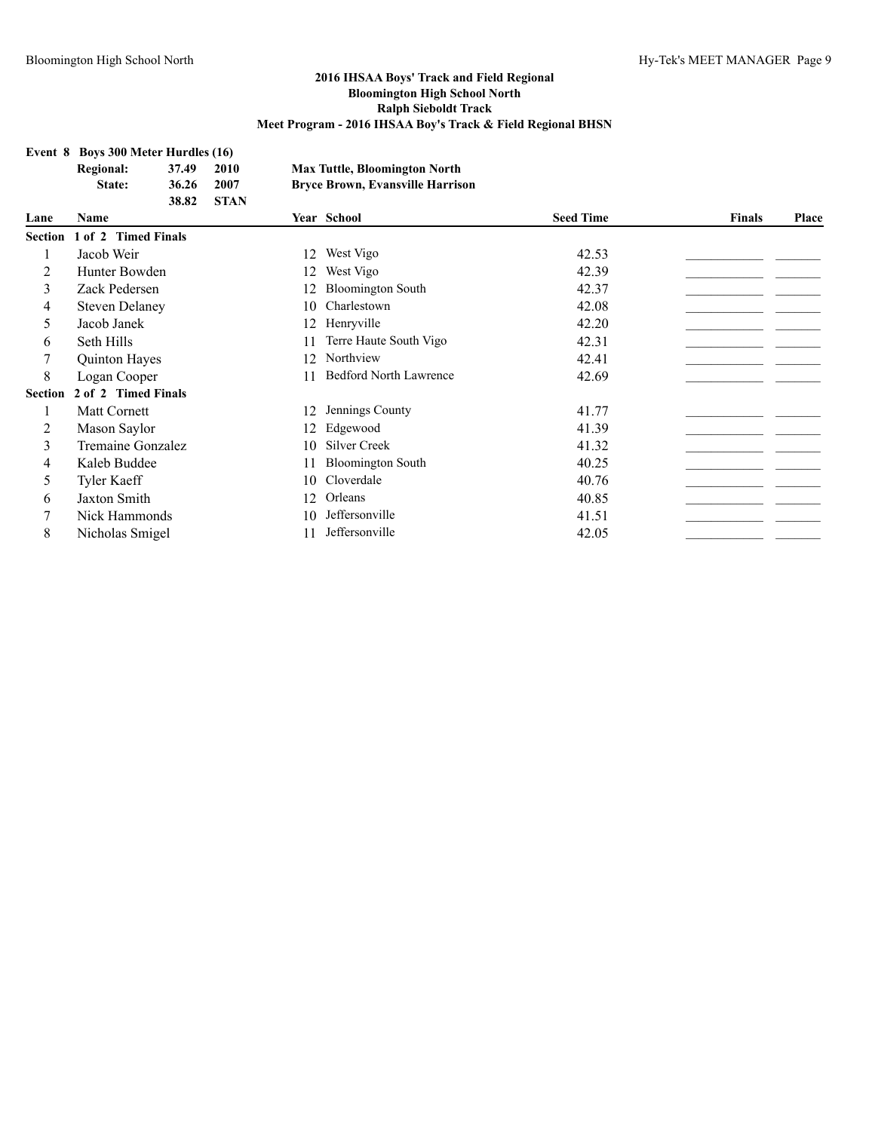# **Event 8 Boys 300 Meter Hurdles (16)**<br>Regional: 37.49 2010

|                | <b>Regional:</b>      | 37.49               | 2010        |    | <b>Max Tuttle, Bloomington North</b>    |                  |               |       |
|----------------|-----------------------|---------------------|-------------|----|-----------------------------------------|------------------|---------------|-------|
|                | State:                | 36.26               | 2007        |    | <b>Bryce Brown, Evansville Harrison</b> |                  |               |       |
| Lane           | <b>Name</b>           | 38.82               | <b>STAN</b> |    | Year School                             | <b>Seed Time</b> | <b>Finals</b> | Place |
| <b>Section</b> | $1$ of $2$            | <b>Timed Finals</b> |             |    |                                         |                  |               |       |
| 1              | Jacob Weir            |                     |             | 12 | West Vigo                               | 42.53            |               |       |
| 2              | Hunter Bowden         |                     |             | 12 | West Vigo                               | 42.39            |               |       |
| 3              | Zack Pedersen         |                     |             | 12 | <b>Bloomington South</b>                | 42.37            |               |       |
| 4              | <b>Steven Delaney</b> |                     |             | 10 | Charlestown                             | 42.08            |               |       |
| 5              | Jacob Janek           |                     |             | 12 | Henryville                              | 42.20            |               |       |
| 6              | Seth Hills            |                     |             |    | Terre Haute South Vigo                  | 42.31            |               |       |
| 7              | Quinton Hayes         |                     |             | 12 | Northview                               | 42.41            |               |       |
| 8              | Logan Cooper          |                     |             | 11 | <b>Bedford North Lawrence</b>           | 42.69            |               |       |
| <b>Section</b> | 2 of 2 Timed Finals   |                     |             |    |                                         |                  |               |       |
|                | <b>Matt Cornett</b>   |                     |             | 12 | Jennings County                         | 41.77            |               |       |
| 2              | Mason Saylor          |                     |             | 12 | Edgewood                                | 41.39            |               |       |
| 3              | Tremaine Gonzalez     |                     |             | 10 | Silver Creek                            | 41.32            |               |       |
| 4              | Kaleb Buddee          |                     |             | 11 | <b>Bloomington South</b>                | 40.25            |               |       |
| 5              | <b>Tyler Kaeff</b>    |                     |             | 10 | Cloverdale                              | 40.76            |               |       |
| 6              | <b>Jaxton Smith</b>   |                     |             | 12 | Orleans                                 | 40.85            |               |       |
| 7              | Nick Hammonds         |                     |             | 10 | Jeffersonville                          | 41.51            |               |       |
| 8              | Nicholas Smigel       |                     |             | 11 | Jeffersonville                          | 42.05            |               |       |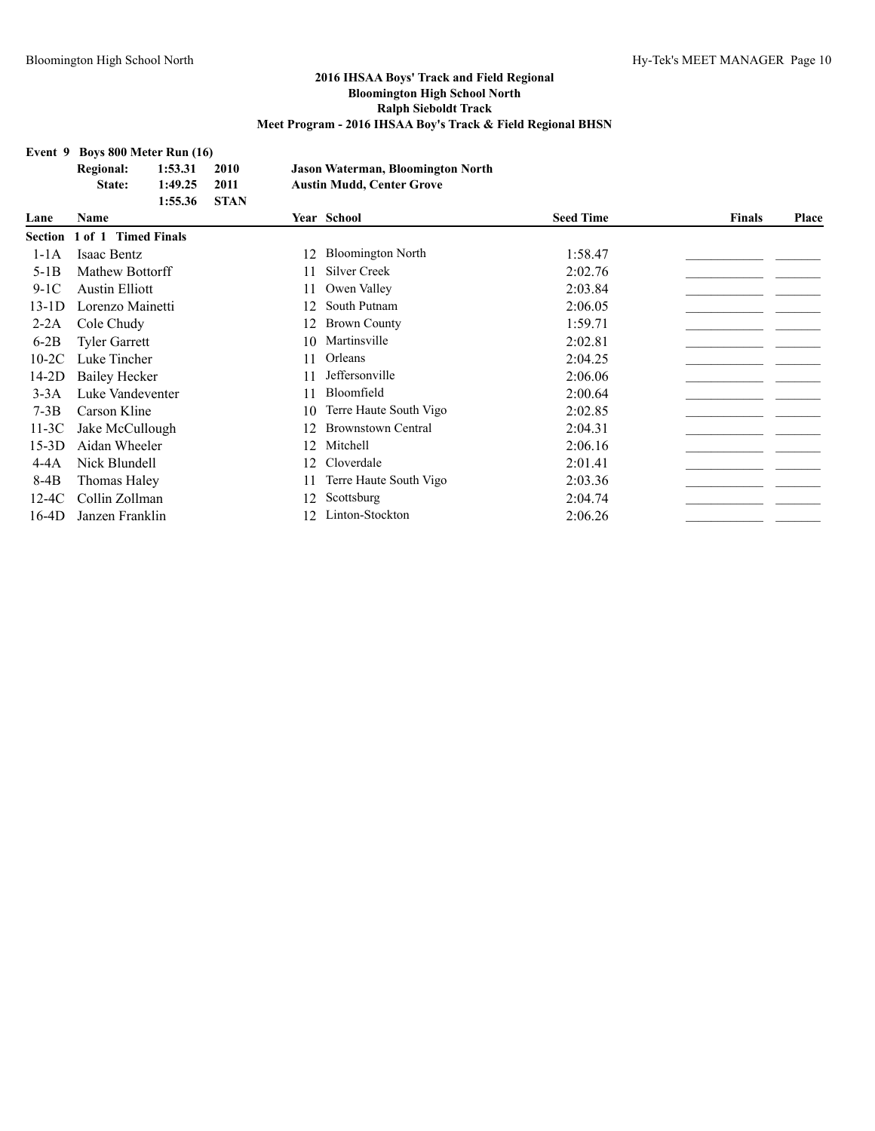#### **Event 9 Boys 800 Meter Run (16)**

|         | <b>Regional:</b><br>State: | 1:53.31<br>1:49.25<br>1:55.36 | 2010<br>2011<br><b>STAN</b> |    | <b>Jason Waterman, Bloomington North</b><br><b>Austin Mudd, Center Grove</b> |                  |               |       |
|---------|----------------------------|-------------------------------|-----------------------------|----|------------------------------------------------------------------------------|------------------|---------------|-------|
| Lane    | <b>Name</b>                |                               |                             |    | Year School                                                                  | <b>Seed Time</b> | <b>Finals</b> | Place |
| Section | 1 of 1 Timed Finals        |                               |                             |    |                                                                              |                  |               |       |
| $1-1A$  | Isaac Bentz                |                               |                             | 12 | <b>Bloomington North</b>                                                     | 1:58.47          |               |       |
| $5-1B$  | Mathew Bottorff            |                               |                             |    | Silver Creek                                                                 | 2:02.76          |               |       |
| $9-1C$  | <b>Austin Elliott</b>      |                               |                             |    | Owen Valley                                                                  | 2:03.84          |               |       |
| $13-1D$ | Lorenzo Mainetti           |                               |                             | 12 | South Putnam                                                                 | 2:06.05          |               |       |
| $2-2A$  | Cole Chudy                 |                               |                             | 12 | <b>Brown County</b>                                                          | 1:59.71          |               |       |
| $6-2B$  | <b>Tyler Garrett</b>       |                               |                             | 10 | Martinsville                                                                 | 2:02.81          |               |       |
| $10-2C$ | Luke Tincher               |                               |                             |    | Orleans                                                                      | 2:04.25          |               |       |
| $14-2D$ | <b>Bailey Hecker</b>       |                               |                             |    | Jeffersonville                                                               | 2:06.06          |               |       |
| $3-3A$  | Luke Vandeventer           |                               |                             |    | Bloomfield                                                                   | 2:00.64          |               |       |
| $7-3B$  | Carson Kline               |                               |                             | 10 | Terre Haute South Vigo                                                       | 2:02.85          |               |       |
| $11-3C$ | Jake McCullough            |                               |                             |    | <b>Brownstown Central</b>                                                    | 2:04.31          |               |       |
| $15-3D$ | Aidan Wheeler              |                               |                             | 12 | Mitchell                                                                     | 2:06.16          |               |       |
| $4-4A$  | Nick Blundell              |                               |                             | 12 | Cloverdale                                                                   | 2:01.41          |               |       |
| $8-4B$  | Thomas Haley               |                               |                             |    | Terre Haute South Vigo                                                       | 2:03.36          |               |       |
| $12-4C$ | Collin Zollman             |                               |                             | 12 | Scottsburg                                                                   | 2:04.74          |               |       |
| $16-4D$ | Janzen Franklin            |                               |                             |    | Linton-Stockton                                                              | 2:06.26          |               |       |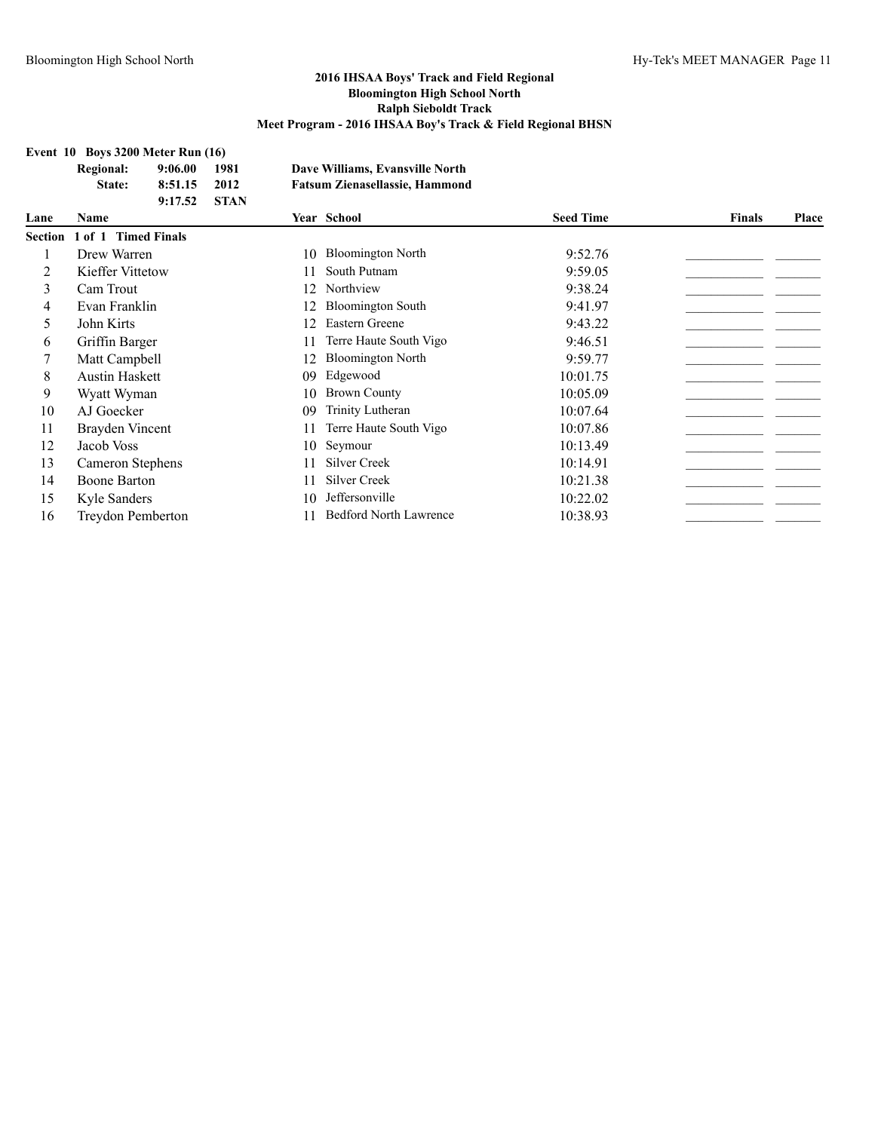#### **Event 10 Boys 3200 Meter Run (16)**

|                | EVENT TO BOVS 3200 METER RUN (10) |                     |             |    |                                       |                  |        |       |
|----------------|-----------------------------------|---------------------|-------------|----|---------------------------------------|------------------|--------|-------|
|                | <b>Regional:</b>                  | 9:06.00             | 1981        |    | Dave Williams, Evansville North       |                  |        |       |
|                | State:                            | 8:51.15             | 2012        |    | <b>Fatsum Zienasellassie, Hammond</b> |                  |        |       |
|                |                                   | 9:17.52             | <b>STAN</b> |    |                                       |                  |        |       |
| Lane           | Name                              |                     |             |    | Year School                           | <b>Seed Time</b> | Finals | Place |
| <b>Section</b> | $1$ of $1$                        | <b>Timed Finals</b> |             |    |                                       |                  |        |       |
|                | Drew Warren                       |                     |             | 10 | <b>Bloomington North</b>              | 9:52.76          |        |       |
| 2              | Kieffer Vittetow                  |                     |             | 11 | South Putnam                          | 9:59.05          |        |       |
| 3              | Cam Trout                         |                     |             | 12 | Northview                             | 9:38.24          |        |       |
| 4              | Evan Franklin                     |                     |             |    | <b>Bloomington South</b>              | 9:41.97          |        |       |
| 5              | John Kirts                        |                     |             | 12 | Eastern Greene                        | 9:43.22          |        |       |
| 6              | Griffin Barger                    |                     |             | 11 | Terre Haute South Vigo                | 9:46.51          |        |       |
|                | Matt Campbell                     |                     |             | 12 | <b>Bloomington North</b>              | 9:59.77          |        |       |
| 8              | <b>Austin Haskett</b>             |                     |             | 09 | Edgewood                              | 10:01.75         |        |       |
| 9              | Wyatt Wyman                       |                     |             | 10 | <b>Brown County</b>                   | 10:05.09         |        |       |
| 10             | AJ Goecker                        |                     |             | 09 | Trinity Lutheran                      | 10:07.64         |        |       |
| 11             | Brayden Vincent                   |                     |             | 11 | Terre Haute South Vigo                | 10:07.86         |        |       |
| 12             | Jacob Voss                        |                     |             | 10 | Seymour                               | 10:13.49         |        |       |
| 13             | Cameron Stephens                  |                     |             | 11 | <b>Silver Creek</b>                   | 10:14.91         |        |       |
| 14             | Boone Barton                      |                     |             | 11 | <b>Silver Creek</b>                   | 10:21.38         |        |       |
| 15             | Kyle Sanders                      |                     |             | 10 | Jeffersonville                        | 10:22.02         |        |       |
| 16             | Treydon Pemberton                 |                     |             |    | <b>Bedford North Lawrence</b>         | 10:38.93         |        |       |
|                |                                   |                     |             |    |                                       |                  |        |       |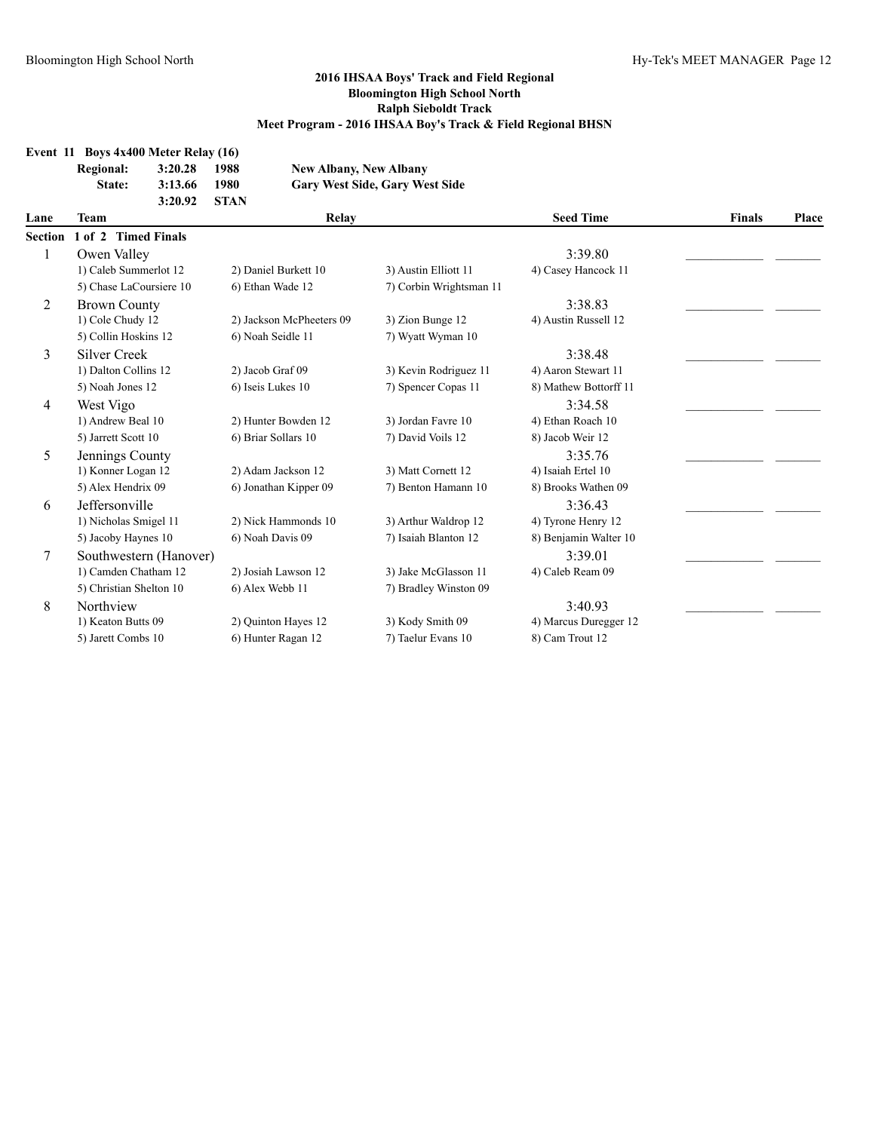|                | Event 11 Boys 4x400 Meter Relay (16) |         |             |                               |                                           |                       |               |       |
|----------------|--------------------------------------|---------|-------------|-------------------------------|-------------------------------------------|-----------------------|---------------|-------|
|                | <b>Regional:</b>                     | 3:20.28 | 1988        | <b>New Albany, New Albany</b> |                                           |                       |               |       |
|                | State:                               | 3:13.66 | 1980        |                               | <b>Gary West Side, Gary West Side</b>     |                       |               |       |
|                |                                      | 3:20.92 | <b>STAN</b> |                               |                                           |                       |               |       |
| Lane           | Team                                 |         |             | Relay                         |                                           | <b>Seed Time</b>      | <b>Finals</b> | Place |
| <b>Section</b> | 1 of 2 Timed Finals                  |         |             |                               |                                           |                       |               |       |
| 1              | Owen Valley                          |         |             |                               |                                           | 3:39.80               |               |       |
|                | 1) Caleb Summerlot 12                |         |             | 2) Daniel Burkett 10          | 3) Austin Elliott 11                      | 4) Casey Hancock 11   |               |       |
|                | 5) Chase LaCoursiere 10              |         |             | 6) Ethan Wade 12              | 7) Corbin Wrightsman 11                   |                       |               |       |
| $\overline{c}$ | <b>Brown County</b>                  |         |             |                               |                                           | 3:38.83               |               |       |
|                | 1) Cole Chudy 12                     |         |             | 2) Jackson McPheeters 09      | 3) Zion Bunge 12                          | 4) Austin Russell 12  |               |       |
|                | 5) Collin Hoskins 12                 |         |             | 6) Noah Seidle 11             | 7) Wyatt Wyman 10                         |                       |               |       |
| 3              | <b>Silver Creek</b>                  |         |             |                               |                                           | 3:38.48               |               |       |
|                | 1) Dalton Collins 12                 |         |             | 2) Jacob Graf 09              | 3) Kevin Rodriguez 11                     | 4) Aaron Stewart 11   |               |       |
|                | 5) Noah Jones 12                     |         |             | 6) Iseis Lukes 10             | 7) Spencer Copas 11                       | 8) Mathew Bottorff 11 |               |       |
| 4              | West Vigo                            |         |             |                               |                                           | 3:34.58               |               |       |
|                | 1) Andrew Beal 10                    |         |             | 2) Hunter Bowden 12           | 3) Jordan Favre 10                        | 4) Ethan Roach 10     |               |       |
|                | 5) Jarrett Scott 10                  |         |             | 6) Briar Sollars 10           | 7) David Voils 12                         | 8) Jacob Weir 12      |               |       |
| 5              | Jennings County                      |         |             |                               |                                           | 3:35.76               |               |       |
|                | 1) Konner Logan 12                   |         |             | 2) Adam Jackson 12            | 3) Matt Cornett 12                        | 4) Isaiah Ertel 10    |               |       |
|                | 5) Alex Hendrix 09                   |         |             | 6) Jonathan Kipper 09         | 7) Benton Hamann 10                       | 8) Brooks Wathen 09   |               |       |
| 6              | Jeffersonville                       |         |             |                               |                                           | 3:36.43               |               |       |
|                | 1) Nicholas Smigel 11                |         |             | 2) Nick Hammonds 10           | 3) Arthur Waldrop 12                      | 4) Tyrone Henry 12    |               |       |
|                | 5) Jacoby Haynes 10                  |         |             | 6) Noah Davis 09              | 7) Isaiah Blanton 12                      | 8) Benjamin Walter 10 |               |       |
| 7              | Southwestern (Hanover)               |         |             |                               |                                           | 3:39.01               |               |       |
|                | 1) Camden Chatham 12                 |         |             | 2) Josiah Lawson 12           | 3) Jake McGlasson 11                      | 4) Caleb Ream 09      |               |       |
|                | 5) Christian Shelton 10              |         |             | 6) Alex Webb 11               | 7) Bradley Winston 09                     |                       |               |       |
| 8              | Northview                            |         |             |                               |                                           | 3:40.93               |               |       |
|                | 1) Keaton Butts 09                   |         |             | 2) Quinton Hayes 12           | 3) Kody Smith 09<br>4) Marcus Duregger 12 |                       |               |       |
|                | 5) Jarett Combs 10                   |         |             | 6) Hunter Ragan 12            | 7) Taelur Evans 10                        | 8) Cam Trout 12       |               |       |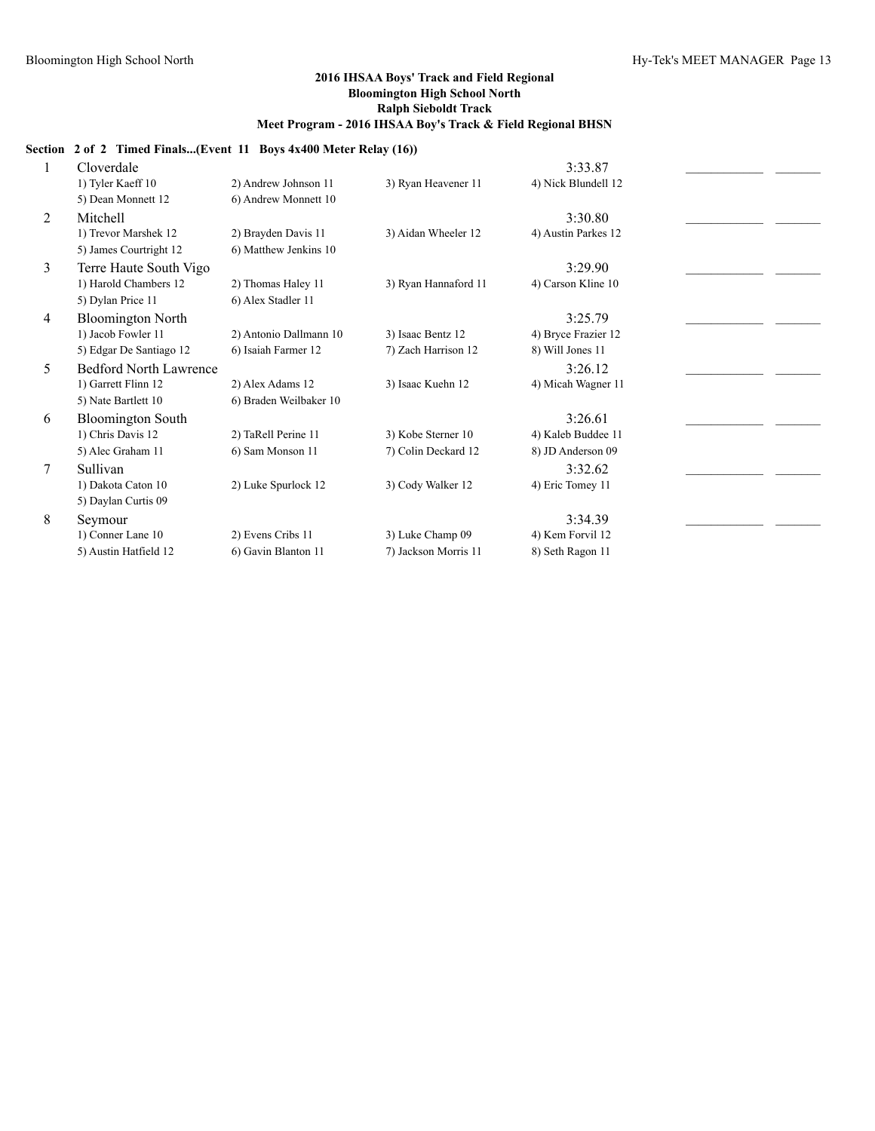### **Section 2 of 2 Timed Finals...(Event 11 Boys 4x400 Meter Relay (16))**

|   | Cloverdale                    |                        |                      | 3:33.87             |  |
|---|-------------------------------|------------------------|----------------------|---------------------|--|
|   | 1) Tyler Kaeff 10             | 2) Andrew Johnson 11   | 3) Ryan Heavener 11  | 4) Nick Blundell 12 |  |
|   | 5) Dean Monnett 12            | 6) Andrew Monnett 10   |                      |                     |  |
| 2 | Mitchell                      |                        |                      | 3:30.80             |  |
|   | 1) Trevor Marshek 12          | 2) Brayden Davis 11    | 3) Aidan Wheeler 12  | 4) Austin Parkes 12 |  |
|   | 5) James Courtright 12        | 6) Matthew Jenkins 10  |                      |                     |  |
| 3 | Terre Haute South Vigo        |                        |                      | 3:29.90             |  |
|   | 1) Harold Chambers 12         | 2) Thomas Haley 11     | 3) Ryan Hannaford 11 | 4) Carson Kline 10  |  |
|   | 5) Dylan Price 11             | 6) Alex Stadler 11     |                      |                     |  |
| 4 | <b>Bloomington North</b>      |                        |                      | 3:25.79             |  |
|   | 1) Jacob Fowler 11            | 2) Antonio Dallmann 10 | 3) Isaac Bentz 12    | 4) Bryce Frazier 12 |  |
|   | 5) Edgar De Santiago 12       | 6) Isaiah Farmer 12    | 7) Zach Harrison 12  | 8) Will Jones 11    |  |
| 5 | <b>Bedford North Lawrence</b> |                        |                      | 3:26.12             |  |
|   | 1) Garrett Flinn 12           | 2) Alex Adams 12       | 3) Isaac Kuehn 12    | 4) Micah Wagner 11  |  |
|   | 5) Nate Bartlett 10           | 6) Braden Weilbaker 10 |                      |                     |  |
| 6 | <b>Bloomington South</b>      |                        |                      | 3:26.61             |  |
|   | 1) Chris Davis 12             | 2) TaRell Perine 11    | 3) Kobe Sterner 10   | 4) Kaleb Buddee 11  |  |
|   | 5) Alec Graham 11             | 6) Sam Monson 11       | 7) Colin Deckard 12  | 8) JD Anderson 09   |  |
| 7 | Sullivan                      |                        |                      | 3:32.62             |  |
|   | 1) Dakota Caton 10            | 2) Luke Spurlock 12    | 3) Cody Walker 12    | 4) Eric Tomey 11    |  |
|   | 5) Daylan Curtis 09           |                        |                      |                     |  |
| 8 | Seymour                       |                        |                      | 3:34.39             |  |
|   | 1) Conner Lane 10             | 2) Evens Cribs 11      | 3) Luke Champ 09     | 4) Kem Forvil 12    |  |
|   | 5) Austin Hatfield 12         | 6) Gavin Blanton 11    | 7) Jackson Morris 11 | 8) Seth Ragon 11    |  |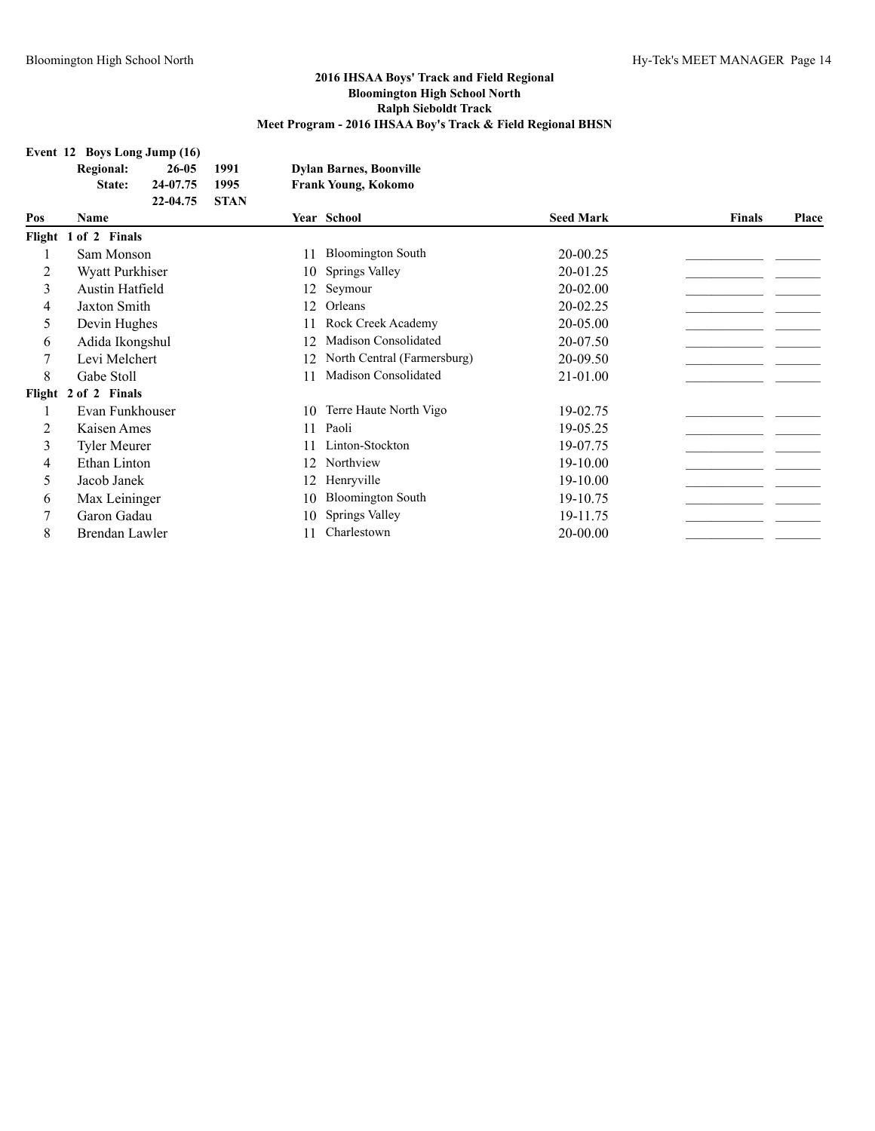| Event 12 Boys Long Jump (16) |  |  |  |  |
|------------------------------|--|--|--|--|
|                              |  |  |  |  |

| $100,0.10$ mg $0$ amp $(10)$ |           |        |                                |
|------------------------------|-----------|--------|--------------------------------|
| Regional:                    | $26 - 05$ | - 1991 | <b>Dylan Barnes, Boonville</b> |
|                              |           |        |                                |

**State: 24-07.75 1995 Frank Young, Kokomo 22-04.75 STAN**

| Pos | Name                 |    | Year School                 | <b>Seed Mark</b> | <b>Finals</b> | <b>Place</b> |
|-----|----------------------|----|-----------------------------|------------------|---------------|--------------|
|     | Flight 1 of 2 Finals |    |                             |                  |               |              |
|     | Sam Monson           |    | <b>Bloomington South</b>    | 20-00.25         |               |              |
| 2   | Wyatt Purkhiser      | 10 | Springs Valley              | 20-01.25         |               |              |
| 3   | Austin Hatfield      | 12 | Seymour                     | $20 - 02.00$     |               |              |
| 4   | Jaxton Smith         | 12 | Orleans                     | 20-02.25         |               |              |
| 5   | Devin Hughes         |    | Rock Creek Academy          | 20-05.00         |               |              |
| 6   | Adida Ikongshul      | 12 | Madison Consolidated        | 20-07.50         |               |              |
| 7   | Levi Melchert        | 12 | North Central (Farmersburg) | 20-09.50         |               |              |
| 8   | Gabe Stoll           |    | Madison Consolidated        | 21-01.00         |               |              |
|     | Flight 2 of 2 Finals |    |                             |                  |               |              |
|     | Evan Funkhouser      | 10 | Terre Haute North Vigo      | 19-02.75         |               |              |
| 2   | Kaisen Ames          | 11 | Paoli                       | 19-05.25         |               |              |
| 3   | <b>Tyler Meurer</b>  |    | Linton-Stockton             | 19-07.75         |               |              |
| 4   | Ethan Linton         | 12 | Northview                   | 19-10.00         |               |              |
| 5   | Jacob Janek          | 12 | Henryville                  | $19-10.00$       |               |              |
| 6   | Max Leininger        | 10 | <b>Bloomington South</b>    | 19-10.75         |               |              |
| 7   | Garon Gadau          | 10 | Springs Valley              | 19-11.75         |               |              |
| 8   | Brendan Lawler       |    | Charlestown                 | 20-00.00         |               |              |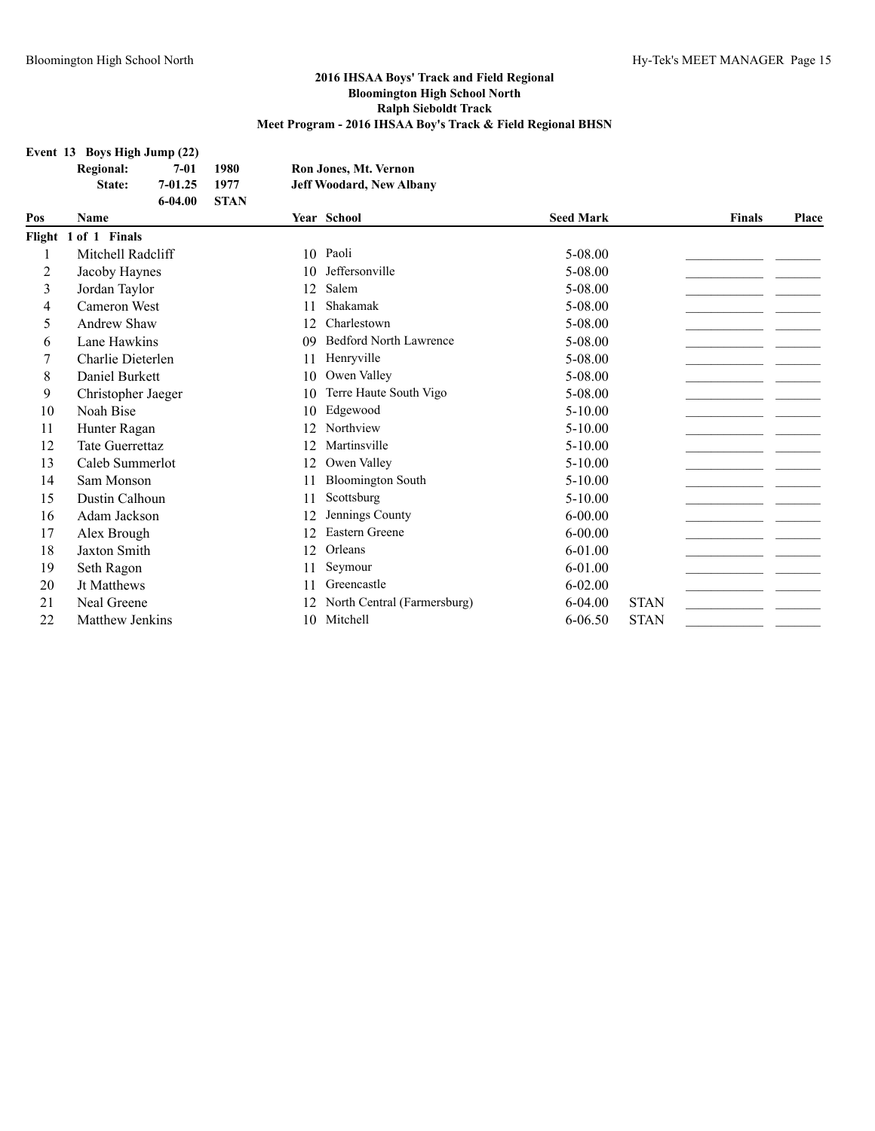#### **Event 13 Boys High Jump (22)**

| <b>Regional:</b> | 7-01    | 1980        | Ron Jones, Mt. Vernon           |
|------------------|---------|-------------|---------------------------------|
| <b>State:</b>    | 7-01.25 | 1977        | <b>Jeff Woodard, New Albany</b> |
|                  | 6-04.00 | <b>STAN</b> |                                 |

| Pos | <b>Name</b>            |    | Year School                 | <b>Seed Mark</b> |             | <b>Finals</b> | Place |
|-----|------------------------|----|-----------------------------|------------------|-------------|---------------|-------|
|     | Flight 1 of 1 Finals   |    |                             |                  |             |               |       |
|     | Mitchell Radcliff      | 10 | Paoli                       | 5-08.00          |             |               |       |
| 2   | Jacoby Haynes          | 10 | Jeffersonville              | 5-08.00          |             |               |       |
| 3   | Jordan Taylor          | 12 | Salem                       | 5-08.00          |             |               |       |
| 4   | Cameron West           | 11 | Shakamak                    | 5-08.00          |             |               |       |
| 5   | Andrew Shaw            | 12 | Charlestown                 | 5-08.00          |             |               |       |
| 6   | Lane Hawkins           | 09 | Bedford North Lawrence      | 5-08.00          |             |               |       |
|     | Charlie Dieterlen      | 11 | Henryville                  | 5-08.00          |             |               |       |
| 8   | Daniel Burkett         | 10 | Owen Valley                 | 5-08.00          |             |               |       |
| 9   | Christopher Jaeger     | 10 | Terre Haute South Vigo      | 5-08.00          |             |               |       |
| 10  | Noah Bise              | 10 | Edgewood                    | $5-10.00$        |             |               |       |
| 11  | Hunter Ragan           | 12 | Northview                   | $5-10.00$        |             |               |       |
| 12  | <b>Tate Guerrettaz</b> | 12 | Martinsville                | $5-10.00$        |             |               |       |
| 13  | Caleb Summerlot        | 12 | Owen Valley                 | $5-10.00$        |             |               |       |
| 14  | Sam Monson             | 11 | <b>Bloomington South</b>    | $5-10.00$        |             |               |       |
| 15  | Dustin Calhoun         | 11 | Scottsburg                  | $5-10.00$        |             |               |       |
| 16  | Adam Jackson           | 12 | Jennings County             | $6 - 00.00$      |             |               |       |
| 17  | Alex Brough            | 12 | Eastern Greene              | $6 - 00.00$      |             |               |       |
| 18  | Jaxton Smith           | 12 | Orleans                     | 6-01.00          |             |               |       |
| 19  | Seth Ragon             | 11 | Seymour                     | 6-01.00          |             |               |       |
| 20  | <b>Jt Matthews</b>     | 11 | Greencastle                 | $6 - 02.00$      |             |               |       |
| 21  | Neal Greene            | 12 | North Central (Farmersburg) | $6 - 04.00$      | <b>STAN</b> |               |       |
| 22  | Matthew Jenkins        | 10 | Mitchell                    | $6 - 06.50$      | <b>STAN</b> |               |       |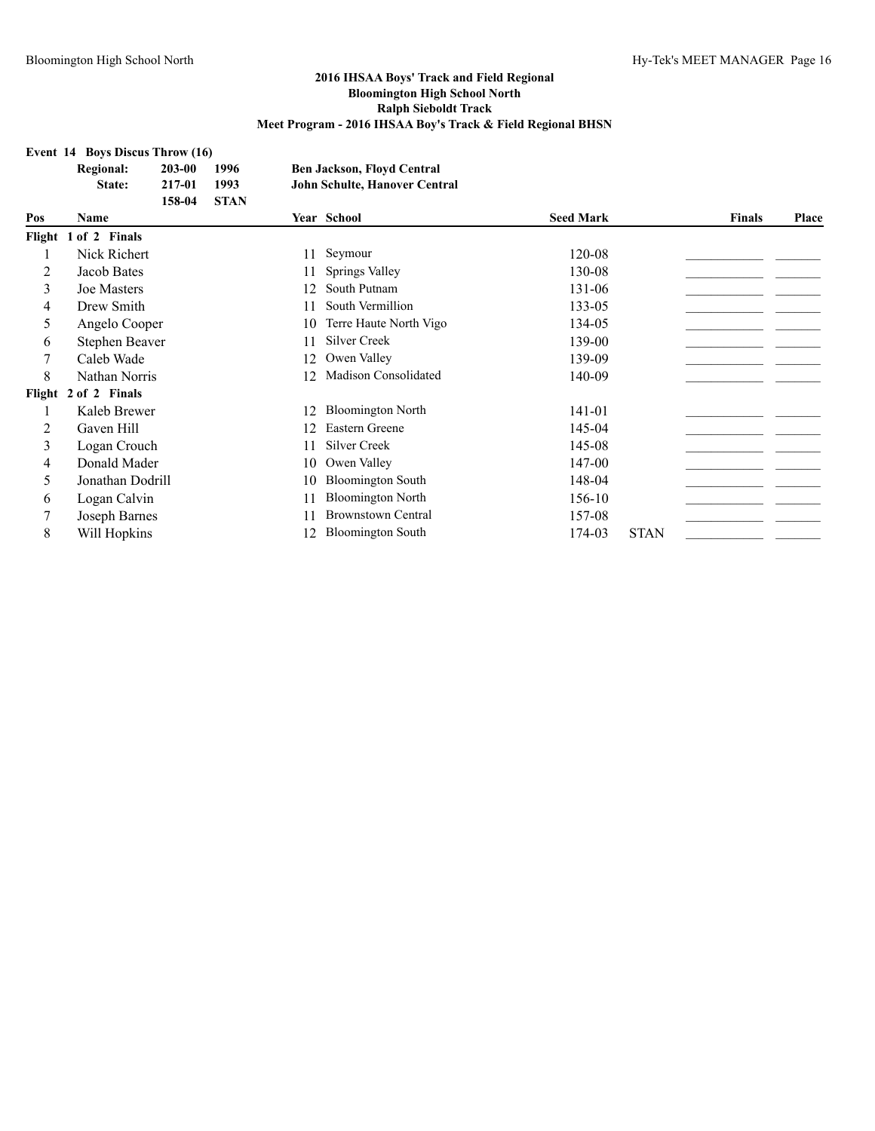#### **Event 14 Boys Discus Throw (16)**

|     | <b>Regional:</b><br>203-00 | 1996        |     | <b>Ben Jackson, Floyd Central</b>    |                  |             |               |       |
|-----|----------------------------|-------------|-----|--------------------------------------|------------------|-------------|---------------|-------|
|     | 217-01<br>State:           | 1993        |     | <b>John Schulte, Hanover Central</b> |                  |             |               |       |
|     | 158-04                     | <b>STAN</b> |     |                                      |                  |             |               |       |
| Pos | Name                       |             |     | Year School                          | <b>Seed Mark</b> |             | <b>Finals</b> | Place |
|     | Flight 1 of 2 Finals       |             |     |                                      |                  |             |               |       |
|     | Nick Richert               |             | 11  | Seymour                              | 120-08           |             |               |       |
| 2   | Jacob Bates                |             | 11  | Springs Valley                       | 130-08           |             |               |       |
| 3   | <b>Joe Masters</b>         |             | 12  | South Putnam                         | 131-06           |             |               |       |
| 4   | Drew Smith                 |             | 11  | South Vermillion                     | 133-05           |             |               |       |
| 5   | Angelo Cooper              |             | 10  | Terre Haute North Vigo               | 134-05           |             |               |       |
| 6   | Stephen Beaver             |             |     | Silver Creek                         | 139-00           |             |               |       |
| 7   | Caleb Wade                 |             | 12. | Owen Valley                          | 139-09           |             |               |       |
| 8   | Nathan Norris              |             | 12  | <b>Madison Consolidated</b>          | 140-09           |             |               |       |
|     | Flight 2 of 2 Finals       |             |     |                                      |                  |             |               |       |
|     | Kaleb Brewer               |             | 12  | <b>Bloomington North</b>             | 141-01           |             |               |       |
| 2   | Gaven Hill                 |             | 12  | Eastern Greene                       | 145-04           |             |               |       |
| 3   | Logan Crouch               |             | 11  | Silver Creek                         | 145-08           |             |               |       |
| 4   | Donald Mader               |             | 10  | Owen Valley                          | 147-00           |             |               |       |
| 5   | Jonathan Dodrill           |             | 10  | <b>Bloomington South</b>             | 148-04           |             |               |       |
| 6   | Logan Calvin               |             |     | <b>Bloomington North</b>             | 156-10           |             |               |       |
| 7   | Joseph Barnes              |             | 11  | <b>Brownstown Central</b>            | 157-08           |             |               |       |
| 8   | Will Hopkins               |             | 12  | <b>Bloomington South</b>             | 174-03           | <b>STAN</b> |               |       |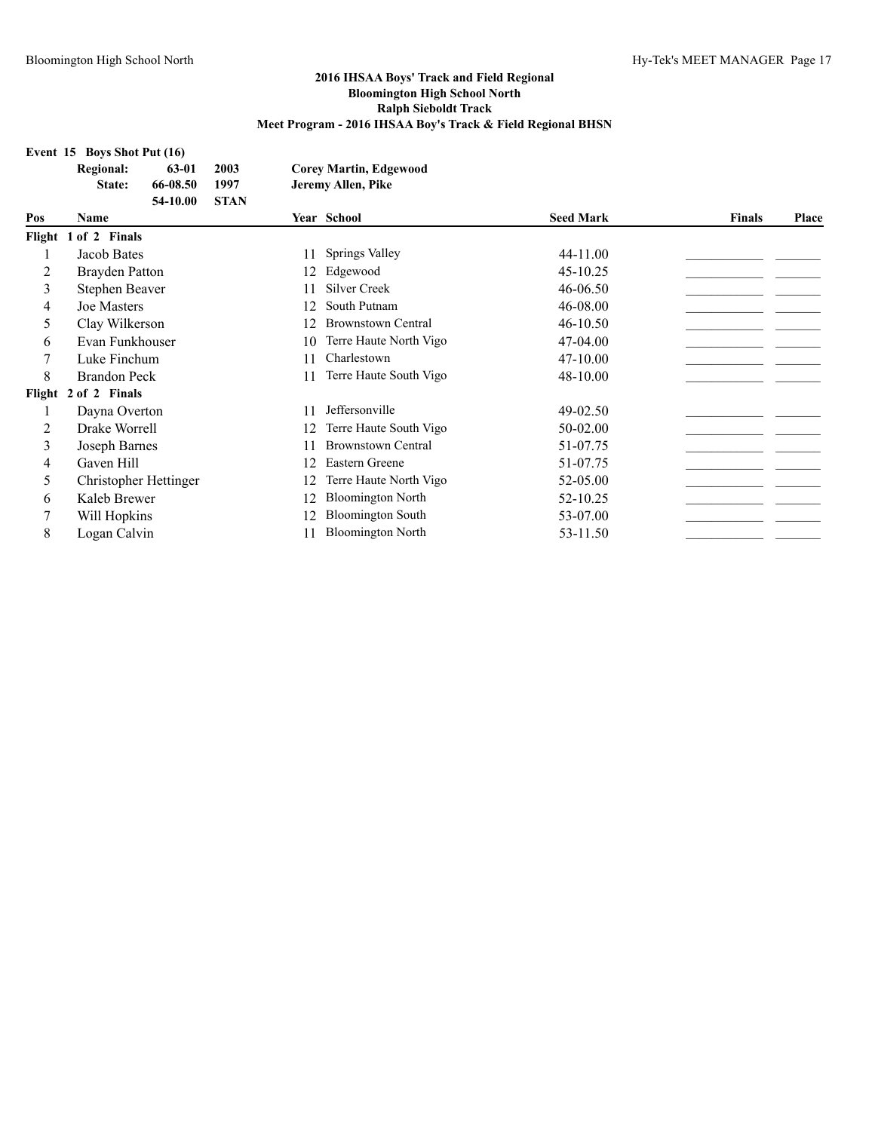| Event 15 Boys Shot Put (16) |  |  |  |
|-----------------------------|--|--|--|
|                             |  |  |  |

| Regional: | 63-01 2003 | <b>Corey Martin, Edgewood</b> |
|-----------|------------|-------------------------------|
|           |            |                               |

**State: 66-08.50 1997 Jeremy Allen, Pike**

|     | <b>STAN</b><br>54-10.00 |    |                           |                  |               |              |
|-----|-------------------------|----|---------------------------|------------------|---------------|--------------|
| Pos | Name                    |    | Year School               | <b>Seed Mark</b> | <b>Finals</b> | <b>Place</b> |
|     | Flight 1 of 2 Finals    |    |                           |                  |               |              |
|     | Jacob Bates             | 11 | Springs Valley            | 44-11.00         |               |              |
| 2   | <b>Brayden Patton</b>   | 12 | Edgewood                  | 45-10.25         |               |              |
| 3   | Stephen Beaver          | 11 | Silver Creek              | 46-06.50         |               |              |
| 4   | <b>Joe Masters</b>      | 12 | South Putnam              | 46-08.00         |               |              |
| 5   | Clay Wilkerson          | 12 | <b>Brownstown Central</b> | $46 - 10.50$     |               |              |
| 6   | Evan Funkhouser         | 10 | Terre Haute North Vigo    | 47-04.00         |               |              |
|     | Luke Finchum            | 11 | Charlestown               | 47-10.00         |               |              |
| 8   | <b>Brandon Peck</b>     | 11 | Terre Haute South Vigo    | 48-10.00         |               |              |
|     | Flight 2 of 2 Finals    |    |                           |                  |               |              |
|     | Dayna Overton           | 11 | Jeffersonville            | 49-02.50         |               |              |
| 2   | Drake Worrell           | 12 | Terre Haute South Vigo    | 50-02.00         |               |              |
| 3   | Joseph Barnes           | 11 | <b>Brownstown Central</b> | 51-07.75         |               |              |
| 4   | Gaven Hill              | 12 | Eastern Greene            | 51-07.75         |               |              |
| 5   | Christopher Hettinger   | 12 | Terre Haute North Vigo    | 52-05.00         |               |              |
| 6   | Kaleb Brewer            | 12 | <b>Bloomington North</b>  | 52-10.25         |               |              |
| 7   | Will Hopkins            | 12 | <b>Bloomington South</b>  | 53-07.00         |               |              |
| 8   | Logan Calvin            |    | <b>Bloomington North</b>  | 53-11.50         |               |              |